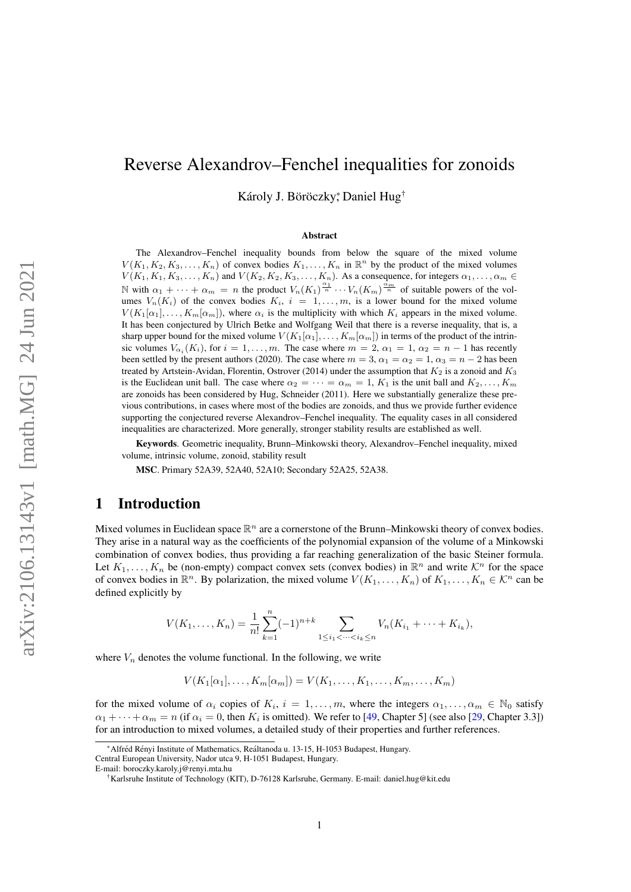# <span id="page-0-0"></span>Reverse Alexandrov–Fenchel inequalities for zonoids

Károly J. Böröczky, Daniel Hug<sup>†</sup>

#### Abstract

The Alexandrov–Fenchel inequality bounds from below the square of the mixed volume  $V(K_1, K_2, K_3, \ldots, K_n)$  of convex bodies  $K_1, \ldots, K_n$  in  $\mathbb{R}^n$  by the product of the mixed volumes  $V(K_1, K_1, K_3, \ldots, K_n)$  and  $V(K_2, K_2, K_3, \ldots, K_n)$ . As a consequence, for integers  $\alpha_1, \ldots, \alpha_m \in$ N with  $\alpha_1 + \cdots + \alpha_m = n$  the product  $V_n(K_1)^{\frac{\alpha_1}{n}} \cdots V_n(K_m)^{\frac{\alpha_m}{n}}$  of suitable powers of the volumes  $V_n(K_i)$  of the convex bodies  $K_i$ ,  $i = 1, \ldots, m$ , is a lower bound for the mixed volume  $V(K_1[\alpha_1], \ldots, K_m[\alpha_m])$ , where  $\alpha_i$  is the multiplicity with which  $K_i$  appears in the mixed volume. It has been conjectured by Ulrich Betke and Wolfgang Weil that there is a reverse inequality, that is, a sharp upper bound for the mixed volume  $V(K_1[\alpha_1], \ldots, K_m[\alpha_m])$  in terms of the product of the intrinsic volumes  $V_{\alpha_i}(K_i)$ , for  $i = 1, \ldots, m$ . The case where  $m = 2, \alpha_1 = 1, \alpha_2 = n - 1$  has recently been settled by the present authors (2020). The case where  $m = 3$ ,  $\alpha_1 = \alpha_2 = 1$ ,  $\alpha_3 = n - 2$  has been treated by Artstein-Avidan, Florentin, Ostrover (2014) under the assumption that  $K_2$  is a zonoid and  $K_3$ is the Euclidean unit ball. The case where  $\alpha_2 = \cdots = \alpha_m = 1$ ,  $K_1$  is the unit ball and  $K_2, \ldots, K_m$ are zonoids has been considered by Hug, Schneider (2011). Here we substantially generalize these previous contributions, in cases where most of the bodies are zonoids, and thus we provide further evidence supporting the conjectured reverse Alexandrov–Fenchel inequality. The equality cases in all considered inequalities are characterized. More generally, stronger stability results are established as well.

Keywords. Geometric inequality, Brunn–Minkowski theory, Alexandrov–Fenchel inequality, mixed volume, intrinsic volume, zonoid, stability result

MSC. Primary 52A39, 52A40, 52A10; Secondary 52A25, 52A38.

### 1 Introduction

Mixed volumes in Euclidean space  $\mathbb{R}^n$  are a cornerstone of the Brunn–Minkowski theory of convex bodies. They arise in a natural way as the coefficients of the polynomial expansion of the volume of a Minkowski combination of convex bodies, thus providing a far reaching generalization of the basic Steiner formula. Let  $K_1, \ldots, K_n$  be (non-empty) compact convex sets (convex bodies) in  $\mathbb{R}^n$  and write  $\mathcal{K}^n$  for the space of convex bodies in  $\mathbb{R}^n$ . By polarization, the mixed volume  $V(K_1, \ldots, K_n)$  of  $K_1, \ldots, K_n \in \mathcal{K}^n$  can be defined explicitly by

$$
V(K_1, \ldots, K_n) = \frac{1}{n!} \sum_{k=1}^n (-1)^{n+k} \sum_{1 \le i_1 < \cdots < i_k \le n} V_n(K_{i_1} + \cdots + K_{i_k}),
$$

where  $V_n$  denotes the volume functional. In the following, we write

$$
V(K_1[\alpha_1],\ldots,K_m[\alpha_m])=V(K_1,\ldots,K_1,\ldots,K_m,\ldots,K_m)
$$

for the mixed volume of  $\alpha_i$  copies of  $K_i$ ,  $i = 1, \ldots, m$ , where the integers  $\alpha_1, \ldots, \alpha_m \in \mathbb{N}_0$  satisfy  $\alpha_1 + \cdots + \alpha_m = n$  (if  $\alpha_i = 0$ , then  $K_i$  is omitted). We refer to [\[49,](#page-24-0) Chapter 5] (see also [\[29,](#page-23-0) Chapter 3.3]) for an introduction to mixed volumes, a detailed study of their properties and further references.

<sup>\*</sup>Alfréd Rényi Institute of Mathematics, Reáltanoda u. 13-15, H-1053 Budapest, Hungary.

Central European University, Nador utca 9, H-1051 Budapest, Hungary.

E-mail: boroczky.karoly.j@renyi.mta.hu

<sup>†</sup>Karlsruhe Institute of Technology (KIT), D-76128 Karlsruhe, Germany. E-mail: daniel.hug@kit.edu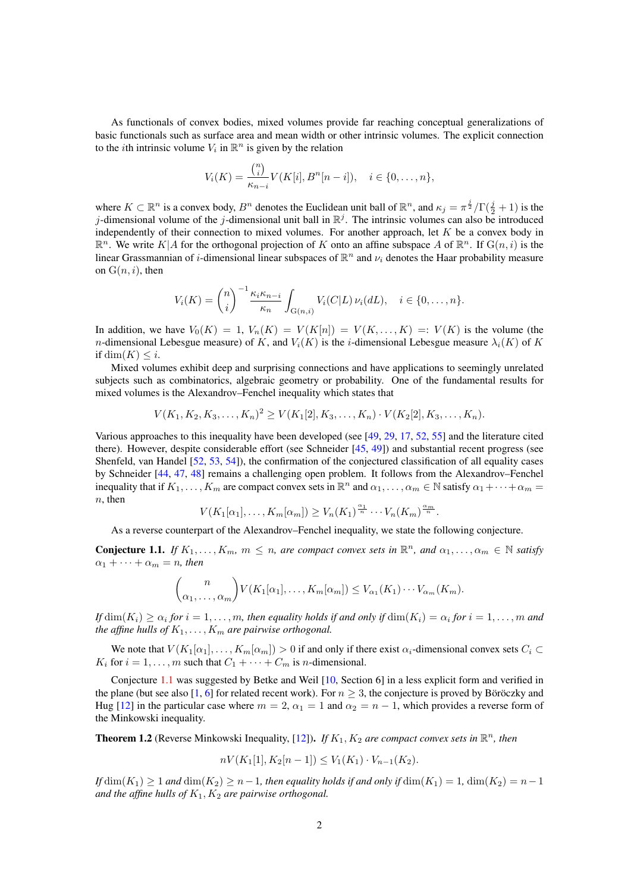<span id="page-1-2"></span>As functionals of convex bodies, mixed volumes provide far reaching conceptual generalizations of basic functionals such as surface area and mean width or other intrinsic volumes. The explicit connection to the *i*th intrinsic volume  $V_i$  in  $\mathbb{R}^n$  is given by the relation

$$
V_i(K) = \frac{\binom{n}{i}}{\kappa_{n-i}} V(K[i], B^n[n-i]), \quad i \in \{0, \dots, n\},\
$$

where  $K \subset \mathbb{R}^n$  is a convex body,  $B^n$  denotes the Euclidean unit ball of  $\mathbb{R}^n$ , and  $\kappa_j = \pi^{\frac{j}{2}}/\Gamma(\frac{j}{2}+1)$  is the j-dimensional volume of the j-dimensional unit ball in  $\mathbb{R}^j$ . The intrinsic volumes can also be introduced independently of their connection to mixed volumes. For another approach, let  $K$  be a convex body in  $\mathbb{R}^n$ . We write  $K|A$  for the orthogonal projection of K onto an affine subspace A of  $\mathbb{R}^n$ . If  $G(n, i)$  is the linear Grassmannian of *i*-dimensional linear subspaces of  $\mathbb{R}^n$  and  $\nu_i$  denotes the Haar probability measure on  $G(n, i)$ , then

$$
V_i(K) = {n \choose i}^{-1} \frac{\kappa_i \kappa_{n-i}}{\kappa_n} \int_{G(n,i)} V_i(C|L) \nu_i(dL), \quad i \in \{0, \ldots, n\}.
$$

In addition, we have  $V_0(K) = 1$ ,  $V_n(K) = V(K[n]) = V(K, \ldots, K) =: V(K)$  is the volume (the n-dimensional Lebesgue measure) of K, and  $V_i(K)$  is the i-dimensional Lebesgue measure  $\lambda_i(K)$  of K if dim $(K) \leq i$ .

Mixed volumes exhibit deep and surprising connections and have applications to seemingly unrelated subjects such as combinatorics, algebraic geometry or probability. One of the fundamental results for mixed volumes is the Alexandrov–Fenchel inequality which states that

$$
V(K_1, K_2, K_3, \ldots, K_n)^2 \ge V(K_1[2], K_3, \ldots, K_n) \cdot V(K_2[2], K_3, \ldots, K_n).
$$

Various approaches to this inequality have been developed (see [\[49,](#page-24-0) [29,](#page-23-0) [17,](#page-23-1) [52,](#page-24-1) [55\]](#page-24-2) and the literature cited there). However, despite considerable effort (see Schneider [\[45,](#page-24-3) [49\]](#page-24-0)) and substantial recent progress (see Shenfeld, van Handel [\[52,](#page-24-1) [53,](#page-24-4) [54\]](#page-24-5)), the confirmation of the conjectured classification of all equality cases by Schneider [\[44,](#page-24-6) [47,](#page-24-7) [48\]](#page-24-8) remains a challenging open problem. It follows from the Alexandrov–Fenchel inequality that if  $K_1, \ldots, K_m$  are compact convex sets in  $\mathbb{R}^n$  and  $\alpha_1, \ldots, \alpha_m \in \mathbb{N}$  satisfy  $\alpha_1 + \cdots + \alpha_m =$  $n$ , then

$$
V(K_1[\alpha_1],\ldots,K_m[\alpha_m]) \ge V_n(K_1)^{\frac{\alpha_1}{n}} \cdots V_n(K_m)^{\frac{\alpha_m}{n}}.
$$

As a reverse counterpart of the Alexandrov–Fenchel inequality, we state the following conjecture.

<span id="page-1-0"></span>**Conjecture 1.1.** If  $K_1, \ldots, K_m$ ,  $m \leq n$ , are compact convex sets in  $\mathbb{R}^n$ , and  $\alpha_1, \ldots, \alpha_m \in \mathbb{N}$  satisfy  $\alpha_1 + \cdots + \alpha_m = n$ , then

$$
\binom{n}{\alpha_1,\ldots,\alpha_m} V(K_1[\alpha_1],\ldots,K_m[\alpha_m]) \leq V_{\alpha_1}(K_1)\cdots V_{\alpha_m}(K_m).
$$

If  $dim(K_i) \ge \alpha_i$  for  $i = 1, \ldots, m$ , then equality holds if and only if  $dim(K_i) = \alpha_i$  for  $i = 1, \ldots, m$  and *the affine hulls of*  $K_1, \ldots, K_m$  *are pairwise orthogonal.* 

We note that  $V(K_1[\alpha_1], \ldots, K_m[\alpha_m]) > 0$  if and only if there exist  $\alpha_i$ -dimensional convex sets  $C_i \subset$  $K_i$  for  $i = 1, ..., m$  such that  $C_1 + \cdots + C_m$  is n-dimensional.

Conjecture [1.1](#page-1-0) was suggested by Betke and Weil [\[10,](#page-22-0) Section 6] in a less explicit form and verified in the plane (but see also [\[1,](#page-22-1) [6\]](#page-22-2) for related recent work). For  $n \geq 3$ , the conjecture is proved by Böröczky and Hug [\[12\]](#page-22-3) in the particular case where  $m = 2$ ,  $\alpha_1 = 1$  and  $\alpha_2 = n - 1$ , which provides a reverse form of the Minkowski inequality.

<span id="page-1-1"></span>**Theorem 1.2** (Reverse Minkowski Inequality, [\[12\]](#page-22-3)). *If*  $K_1$ ,  $K_2$  *are compact convex sets in*  $\mathbb{R}^n$ *, then* 

$$
nV(K_1[1], K_2[n-1]) \le V_1(K_1) \cdot V_{n-1}(K_2).
$$

*If*  $\dim(K_1) \geq 1$  *and*  $\dim(K_2) \geq n-1$ *, then equality holds if and only if*  $\dim(K_1) = 1$ ,  $\dim(K_2) = n-1$ *and the affine hulls of*  $K_1, K_2$  *are pairwise orthogonal.*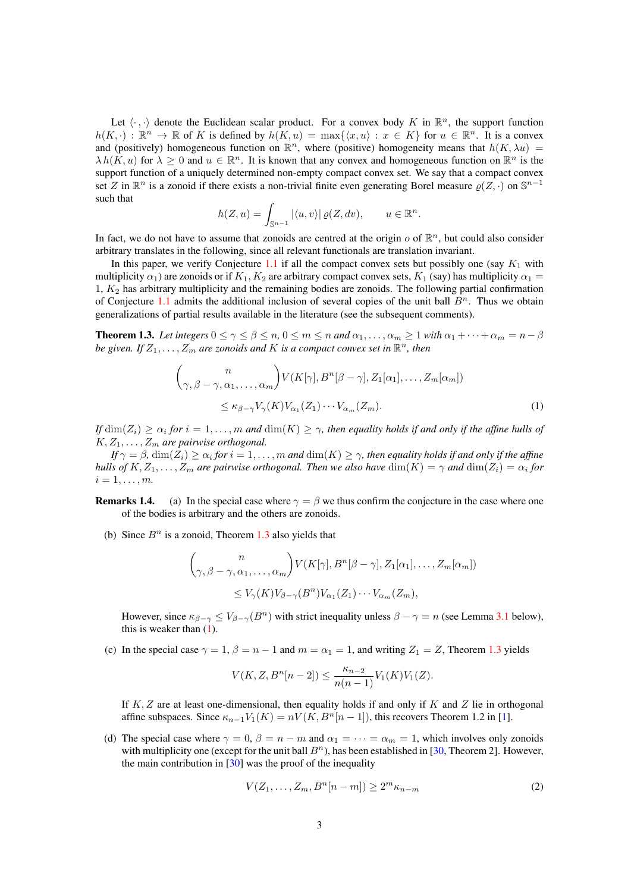<span id="page-2-3"></span>Let  $\langle \cdot, \cdot \rangle$  denote the Euclidean scalar product. For a convex body K in  $\mathbb{R}^n$ , the support function  $h(K, \cdot) : \mathbb{R}^n \to \mathbb{R}$  of K is defined by  $h(K, u) = \max\{ \langle x, u \rangle : x \in K \}$  for  $u \in \mathbb{R}^n$ . It is a convex and (positively) homogeneous function on  $\mathbb{R}^n$ , where (positive) homogeneity means that  $h(K, \lambda u)$  $\lambda h(K, u)$  for  $\lambda \geq 0$  and  $u \in \mathbb{R}^n$ . It is known that any convex and homogeneous function on  $\mathbb{R}^n$  is the support function of a uniquely determined non-empty compact convex set. We say that a compact convex set Z in  $\mathbb{R}^n$  is a zonoid if there exists a non-trivial finite even generating Borel measure  $\varrho(Z, \cdot)$  on  $\mathbb{S}^{n-1}$ such that

$$
h(Z, u) = \int_{\mathbb{S}^{n-1}} |\langle u, v \rangle| \, \varrho(Z, dv), \qquad u \in \mathbb{R}^n.
$$

In fact, we do not have to assume that zonoids are centred at the origin  $o$  of  $\mathbb{R}^n$ , but could also consider arbitrary translates in the following, since all relevant functionals are translation invariant.

In this paper, we verify Conjecture [1.1](#page-1-0) if all the compact convex sets but possibly one (say  $K_1$  with multiplicity  $\alpha_1$ ) are zonoids or if  $K_1, K_2$  are arbitrary compact convex sets,  $K_1$  (say) has multiplicity  $\alpha_1 =$  $1, K<sub>2</sub>$  has arbitrary multiplicity and the remaining bodies are zonoids. The following partial confirmation of Conjecture [1.1](#page-1-0) admits the additional inclusion of several copies of the unit ball  $B<sup>n</sup>$ . Thus we obtain generalizations of partial results available in the literature (see the subsequent comments).

<span id="page-2-0"></span>**Theorem 1.3.** *Let integers*  $0 \le \gamma \le \beta \le n$ ,  $0 \le m \le n$  *and*  $\alpha_1, \ldots, \alpha_m \ge 1$  *with*  $\alpha_1 + \cdots + \alpha_m = n - \beta$ be given. If  $Z_1, \ldots, Z_m$  are zonoids and  $K$  is a compact convex set in  $\mathbb{R}^n$ , then

<span id="page-2-1"></span>
$$
\binom{n}{\gamma, \beta - \gamma, \alpha_1, \dots, \alpha_m} V(K[\gamma], B^n[\beta - \gamma], Z_1[\alpha_1], \dots, Z_m[\alpha_m])
$$
\n
$$
\leq \kappa_{\beta - \gamma} V_{\gamma}(K) V_{\alpha_1}(Z_1) \cdots V_{\alpha_m}(Z_m). \tag{1}
$$

*If*  $dim(Z_i) \ge \alpha_i$  for  $i = 1, \ldots, m$  and  $dim(K) \ge \gamma$ , then equality holds if and only if the affine hulls of  $K, Z_1, \ldots, Z_m$  are pairwise orthogonal.

 $\textit{If } \gamma = \beta \text{, } \dim(Z_i) \geq \alpha_i \textit{ for } i=1,\ldots,m \textit{ and } \dim(K) \geq \gamma, \textit{ then equality holds if and only if the affine } \beta_i \geq 1$ *hulls of*  $K, Z_1, \ldots, Z_m$  are pairwise orthogonal. Then we also have  $dim(K) = \gamma$  and  $dim(Z_i) = \alpha_i$  for  $i=1,\ldots,m$ .

**Remarks 1.4.** (a) In the special case where  $\gamma = \beta$  we thus confirm the conjecture in the case where one of the bodies is arbitrary and the others are zonoids.

(b) Since  $B<sup>n</sup>$  is a zonoid, Theorem [1.3](#page-2-0) also yields that

$$
\binom{n}{\gamma, \beta - \gamma, \alpha_1, \dots, \alpha_m} V(K[\gamma], B^n[\beta - \gamma], Z_1[\alpha_1], \dots, Z_m[\alpha_m])
$$
  

$$
\leq V_{\gamma}(K)V_{\beta - \gamma}(B^n)V_{\alpha_1}(Z_1)\cdots V_{\alpha_m}(Z_m),
$$

However, since  $\kappa_{\beta-\gamma} \leq V_{\beta-\gamma}(B^n)$  with strict inequality unless  $\beta-\gamma = n$  (see Lemma [3.1](#page-7-0) below), this is weaker than  $(1)$ .

(c) In the special case  $\gamma = 1$ ,  $\beta = n - 1$  and  $m = \alpha_1 = 1$ , and writing  $Z_1 = Z$ , Theorem [1.3](#page-2-0) yields

$$
V(K, Z, B^{n}[n-2]) \le \frac{\kappa_{n-2}}{n(n-1)} V_1(K) V_1(Z).
$$

If K, Z are at least one-dimensional, then equality holds if and only if K and Z lie in orthogonal affine subspaces. Since  $\kappa_{n-1}V_1(K) = nV(K, B^n[n-1])$ , this recovers Theorem 1.2 in [\[1\]](#page-22-1).

(d) The special case where  $\gamma = 0$ ,  $\beta = n - m$  and  $\alpha_1 = \cdots = \alpha_m = 1$ , which involves only zonoids with multiplicity one (except for the unit ball  $B<sup>n</sup>$ ), has been established in [\[30,](#page-23-2) Theorem 2]. However, the main contribution in  $[30]$  was the proof of the inequality

<span id="page-2-2"></span>
$$
V(Z_1, \ldots, Z_m, B^n[n-m]) \ge 2^m \kappa_{n-m}
$$
\n<sup>(2)</sup>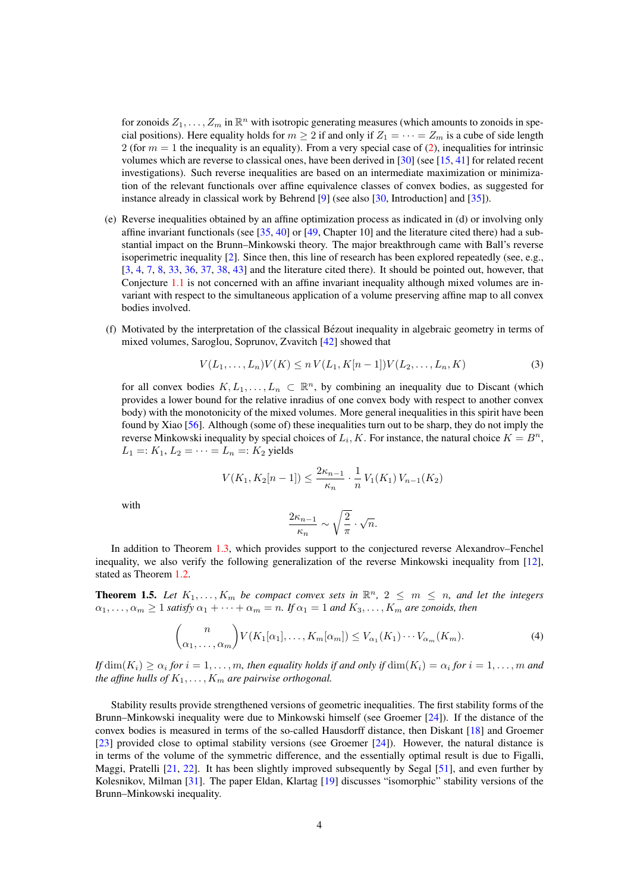<span id="page-3-2"></span>for zonoids  $Z_1, \ldots, Z_m$  in  $\mathbb{R}^n$  with isotropic generating measures (which amounts to zonoids in special positions). Here equality holds for  $m \geq 2$  if and only if  $Z_1 = \cdots = Z_m$  is a cube of side length 2 (for  $m = 1$  the inequality is an equality). From a very special case of [\(2\)](#page-2-2), inequalities for intrinsic volumes which are reverse to classical ones, have been derived in [\[30\]](#page-23-2) (see [\[15,](#page-23-3) [41\]](#page-24-9) for related recent investigations). Such reverse inequalities are based on an intermediate maximization or minimization of the relevant functionals over affine equivalence classes of convex bodies, as suggested for instance already in classical work by Behrend [\[9\]](#page-22-4) (see also [\[30,](#page-23-2) Introduction] and [\[35\]](#page-23-4)).

- (e) Reverse inequalities obtained by an affine optimization process as indicated in (d) or involving only affine invariant functionals (see [\[35,](#page-23-4) [40\]](#page-24-10) or [\[49,](#page-24-0) Chapter 10] and the literature cited there) had a substantial impact on the Brunn–Minkowski theory. The major breakthrough came with Ball's reverse isoperimetric inequality [\[2\]](#page-22-5). Since then, this line of research has been explored repeatedly (see, e.g., [\[3,](#page-22-6) [4,](#page-22-7) [7,](#page-22-8) [8,](#page-22-9) [33,](#page-23-5) [36,](#page-23-6) [37,](#page-24-11) [38,](#page-24-12) [43\]](#page-24-13) and the literature cited there). It should be pointed out, however, that Conjecture [1.1](#page-1-0) is not concerned with an affine invariant inequality although mixed volumes are invariant with respect to the simultaneous application of a volume preserving affine map to all convex bodies involved.
- (f) Motivated by the interpretation of the classical Bezout inequality in algebraic geometry in terms of ´ mixed volumes, Saroglou, Soprunov, Zvavitch [\[42\]](#page-24-14) showed that

$$
V(L_1, \ldots, L_n)V(K) \le n V(L_1, K[n-1])V(L_2, \ldots, L_n, K)
$$
\n(3)

for all convex bodies  $K, L_1, \ldots, L_n \subset \mathbb{R}^n$ , by combining an inequality due to Discant (which provides a lower bound for the relative inradius of one convex body with respect to another convex body) with the monotonicity of the mixed volumes. More general inequalities in this spirit have been found by Xiao [\[56\]](#page-24-15). Although (some of) these inequalities turn out to be sharp, they do not imply the reverse Minkowski inequality by special choices of  $L_i$ , K. For instance, the natural choice  $K = B^n$ ,  $L_1 =: K_1, L_2 = \cdots = L_n =: K_2$  yields

$$
V(K_1, K_2[n-1]) \le \frac{2\kappa_{n-1}}{\kappa_n} \cdot \frac{1}{n} V_1(K_1) V_{n-1}(K_2)
$$

with

$$
\frac{2\kappa_{n-1}}{\kappa_n} \sim \sqrt{\frac{2}{\pi}} \cdot \sqrt{n}.
$$

In addition to Theorem [1.3,](#page-2-0) which provides support to the conjectured reverse Alexandrov–Fenchel inequality, we also verify the following generalization of the reverse Minkowski inequality from [\[12\]](#page-22-3), stated as Theorem [1.2.](#page-1-1)

<span id="page-3-0"></span>**Theorem 1.5.** Let  $K_1, \ldots, K_m$  be compact convex sets in  $\mathbb{R}^n$ ,  $2 \leq m \leq n$ , and let the integers  $\alpha_1, \ldots, \alpha_m \geq 1$  *satisfy*  $\alpha_1 + \cdots + \alpha_m = n$ . If  $\alpha_1 = 1$  and  $K_3, \ldots, K_m$  are zonoids, then

<span id="page-3-1"></span>
$$
\binom{n}{\alpha_1,\ldots,\alpha_m} V(K_1[\alpha_1],\ldots,K_m[\alpha_m]) \le V_{\alpha_1}(K_1)\cdots V_{\alpha_m}(K_m). \tag{4}
$$

If  $dim(K_i) \ge \alpha_i$  for  $i = 1, \ldots, m$ , then equality holds if and only if  $dim(K_i) = \alpha_i$  for  $i = 1, \ldots, m$  and *the affine hulls of*  $K_1, \ldots, K_m$  *are pairwise orthogonal.* 

Stability results provide strengthened versions of geometric inequalities. The first stability forms of the Brunn–Minkowski inequality were due to Minkowski himself (see Groemer [\[24\]](#page-23-7)). If the distance of the convex bodies is measured in terms of the so-called Hausdorff distance, then Diskant [\[18\]](#page-23-8) and Groemer [\[23\]](#page-23-9) provided close to optimal stability versions (see Groemer [\[24\]](#page-23-7)). However, the natural distance is in terms of the volume of the symmetric difference, and the essentially optimal result is due to Figalli, Maggi, Pratelli [\[21,](#page-23-10) [22\]](#page-23-11). It has been slightly improved subsequently by Segal [\[51\]](#page-24-16), and even further by Kolesnikov, Milman [\[31\]](#page-23-12). The paper Eldan, Klartag [\[19\]](#page-23-13) discusses "isomorphic" stability versions of the Brunn–Minkowski inequality.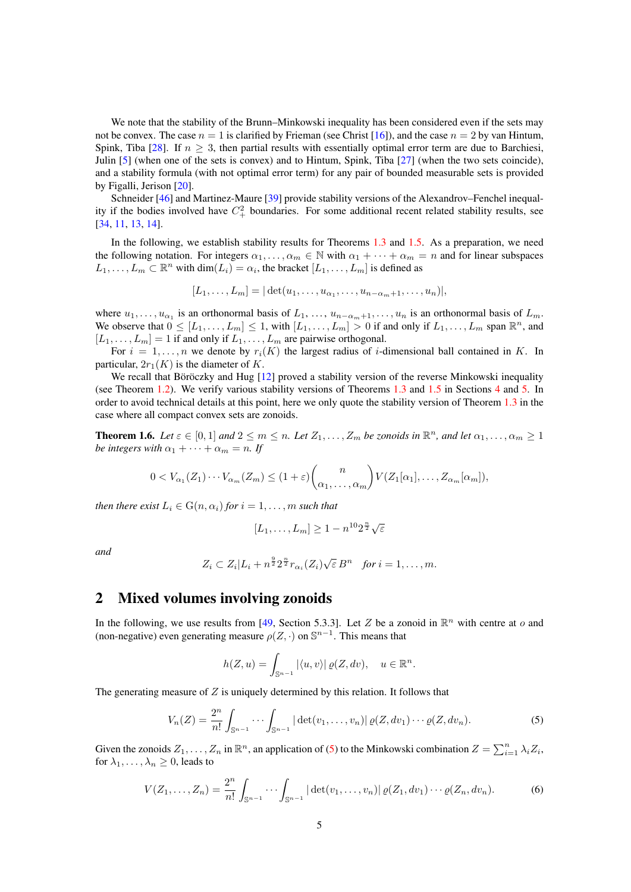<span id="page-4-3"></span>We note that the stability of the Brunn–Minkowski inequality has been considered even if the sets may not be convex. The case  $n = 1$  is clarified by Frieman (see Christ [\[16\]](#page-23-14)), and the case  $n = 2$  by van Hintum, Spink, Tiba [\[28\]](#page-23-15). If  $n > 3$ , then partial results with essentially optimal error term are due to Barchiesi, Julin [\[5\]](#page-22-10) (when one of the sets is convex) and to Hintum, Spink, Tiba [\[27\]](#page-23-16) (when the two sets coincide), and a stability formula (with not optimal error term) for any pair of bounded measurable sets is provided by Figalli, Jerison [\[20\]](#page-23-17).

Schneider [\[46\]](#page-24-17) and Martinez-Maure [\[39\]](#page-24-18) provide stability versions of the Alexandrov–Fenchel inequality if the bodies involved have  $C_+^2$  boundaries. For some additional recent related stability results, see [\[34,](#page-23-18) [11,](#page-22-11) [13,](#page-22-12) [14\]](#page-22-13).

In the following, we establish stability results for Theorems [1.3](#page-2-0) and [1.5.](#page-3-0) As a preparation, we need the following notation. For integers  $\alpha_1, \dots, \alpha_m \in \mathbb{N}$  with  $\alpha_1 + \dots + \alpha_m = n$  and for linear subspaces  $L_1, \ldots, L_m \subset \mathbb{R}^n$  with  $\dim(L_i) = \alpha_i$ , the bracket  $[L_1, \ldots, L_m]$  is defined as

$$
[L_1,\ldots,L_m]=|\det(u_1,\ldots,u_{\alpha_1},\ldots,u_{n-\alpha_m+1},\ldots,u_n)|,
$$

where  $u_1, \ldots, u_{\alpha_1}$  is an orthonormal basis of  $L_1, \ldots, u_{n-\alpha_m+1}, \ldots, u_n$  is an orthonormal basis of  $L_m$ . We observe that  $0 \leq [L_1, \ldots, L_m] \leq 1$ , with  $[L_1, \ldots, L_m] > 0$  if and only if  $L_1, \ldots, L_m$  span  $\mathbb{R}^n$ , and  $[L_1, \ldots, L_m] = 1$  if and only if  $L_1, \ldots, L_m$  are pairwise orthogonal.

For  $i = 1, \ldots, n$  we denote by  $r_i(K)$  the largest radius of *i*-dimensional ball contained in K. In particular,  $2r_1(K)$  is the diameter of K.

We recall that Böröczky and Hug  $[12]$  $[12]$  proved a stability version of the reverse Minkowski inequality (see Theorem [1.2\)](#page-1-1). We verify various stability versions of Theorems [1.3](#page-2-0) and [1.5](#page-3-0) in Sections [4](#page-10-0) and [5.](#page-18-0) In order to avoid technical details at this point, here we only quote the stability version of Theorem [1.3](#page-2-0) in the case where all compact convex sets are zonoids.

<span id="page-4-2"></span>**Theorem 1.6.** Let  $\varepsilon \in [0,1]$  and  $2 \le m \le n$ . Let  $Z_1, \ldots, Z_m$  be zonoids in  $\mathbb{R}^n$ , and let  $\alpha_1, \ldots, \alpha_m \ge 1$ *be integers with*  $\alpha_1 + \cdots + \alpha_m = n$ . If

$$
0 < V_{\alpha_1}(Z_1) \cdots V_{\alpha_m}(Z_m) \le (1+\varepsilon) {n \choose \alpha_1, \ldots, \alpha_m} V(Z_1[\alpha_1], \ldots, Z_{\alpha_m}[\alpha_m]),
$$

*then there exist*  $L_i \in G(n, \alpha_i)$  *for*  $i = 1, \ldots, m$  *such that* 

$$
[L_1,\ldots,L_m] \ge 1 - n^{10} 2^{\frac{n}{2}} \sqrt{\varepsilon}
$$

*and*

$$
Z_i \subset Z_i | L_i + n^{\frac{9}{2}} 2^{\frac{n}{2}} r_{\alpha_i}(Z_i) \sqrt{\varepsilon} B^n \quad \text{for } i = 1, \dots, m.
$$

#### 2 Mixed volumes involving zonoids

In the following, we use results from [\[49,](#page-24-0) Section 5.3.3]. Let Z be a zonoid in  $\mathbb{R}^n$  with centre at o and (non-negative) even generating measure  $\rho(Z, \cdot)$  on  $\mathbb{S}^{n-1}$ . This means that

$$
h(Z, u) = \int_{\mathbb{S}^{n-1}} |\langle u, v \rangle| \, \varrho(Z, dv), \quad u \in \mathbb{R}^n.
$$

The generating measure of  $Z$  is uniquely determined by this relation. It follows that

<span id="page-4-0"></span>
$$
V_n(Z) = \frac{2^n}{n!} \int_{\mathbb{S}^{n-1}} \cdots \int_{\mathbb{S}^{n-1}} |\det(v_1, \ldots, v_n)| \, \varrho(Z, dv_1) \cdots \varrho(Z, dv_n). \tag{5}
$$

Given the zonoids  $Z_1, \ldots, Z_n$  in  $\mathbb{R}^n$ , an application of [\(5\)](#page-4-0) to the Minkowski combination  $Z = \sum_{i=1}^n \lambda_i Z_i$ , for  $\lambda_1, \ldots, \lambda_n \geq 0$ , leads to

<span id="page-4-1"></span>
$$
V(Z_1, ..., Z_n) = \frac{2^n}{n!} \int_{\mathbb{S}^{n-1}} \cdots \int_{\mathbb{S}^{n-1}} |\det(v_1, ..., v_n)| \, \varrho(Z_1, dv_1) \cdots \varrho(Z_n, dv_n).
$$
 (6)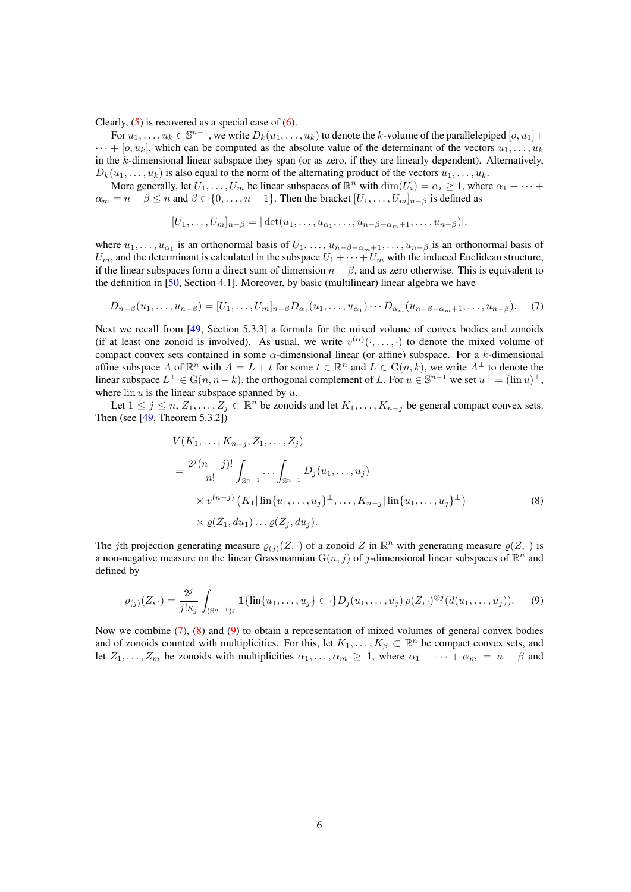<span id="page-5-3"></span>Clearly,  $(5)$  is recovered as a special case of  $(6)$ .

For  $u_1, \ldots, u_k \in \mathbb{S}^{n-1}$ , we write  $D_k(u_1, \ldots, u_k)$  to denote the k-volume of the parallelepiped  $[o, u_1]$  +  $\cdots$  + [o,  $u_k$ ], which can be computed as the absolute value of the determinant of the vectors  $u_1, \ldots, u_k$ in the k-dimensional linear subspace they span (or as zero, if they are linearly dependent). Alternatively,  $D_k(u_1, \ldots, u_k)$  is also equal to the norm of the alternating product of the vectors  $u_1, \ldots, u_k$ .

More generally, let  $\overline{U_1}, \ldots, \overline{U_m}$  be linear subspaces of  $\mathbb{R}^n$  with  $\dim(U_i) = \alpha_i \ge 1$ , where  $\alpha_1 + \cdots + \alpha_n$  $\alpha_m = n - \beta \le n$  and  $\beta \in \{0, \dots, n-1\}$ . Then the bracket  $[U_1, \dots, U_m]_{n-\beta}$  is defined as

$$
[U_1,\ldots,U_m]_{n-\beta} = |\det(u_1,\ldots,u_{\alpha_1},\ldots,u_{n-\beta-\alpha_m+1},\ldots,u_{n-\beta})|,
$$

where  $u_1, \ldots, u_{\alpha_1}$  is an orthonormal basis of  $U_1, \ldots, u_{n-\beta-\alpha_m+1}, \ldots, u_{n-\beta}$  is an orthonormal basis of  $U_m$ , and the determinant is calculated in the subspace  $U_1 + \cdots + U_m$  with the induced Euclidean structure, if the linear subspaces form a direct sum of dimension  $n - \beta$ , and as zero otherwise. This is equivalent to the definition in [\[50,](#page-24-19) Section 4.1]. Moreover, by basic (multilinear) linear algebra we have

<span id="page-5-0"></span>
$$
D_{n-\beta}(u_1,\ldots,u_{n-\beta})=[U_1,\ldots,U_m]_{n-\beta}D_{\alpha_1}(u_1,\ldots,u_{\alpha_1})\cdots D_{\alpha_m}(u_{n-\beta-\alpha_m+1},\ldots,u_{n-\beta}).
$$
 (7)

Next we recall from [\[49,](#page-24-0) Section 5.3.3] a formula for the mixed volume of convex bodies and zonoids (if at least one zonoid is involved). As usual, we write  $v^{(\alpha)}(\cdot,\ldots,\cdot)$  to denote the mixed volume of compact convex sets contained in some  $\alpha$ -dimensional linear (or affine) subspace. For a k-dimensional affine subspace A of  $\mathbb{R}^n$  with  $A = L + t$  for some  $t \in \mathbb{R}^n$  and  $L \in G(n, k)$ , we write  $A^{\perp}$  to denote the linear subspace  $L^{\perp} \in G(n, n-k)$ , the orthogonal complement of L. For  $u \in \mathbb{S}^{n-1}$  we set  $u^{\perp} = (\lim u)^{\perp}$ , where  $\overline{\ln u}$  is the linear subspace spanned by u.

Let  $1 \le j \le n, Z_1, \ldots, Z_j \subset \mathbb{R}^n$  be zonoids and let  $K_1, \ldots, K_{n-j}$  be general compact convex sets. Then (see [\[49,](#page-24-0) Theorem 5.3.2])

<span id="page-5-1"></span>
$$
V(K_1, ..., K_{n-j}, Z_1, ..., Z_j)
$$
  
= 
$$
\frac{2^j (n-j)!}{n!} \int_{\mathbb{S}^{n-1}} ... \int_{\mathbb{S}^{n-1}} D_j(u_1, ..., u_j)
$$
  
×  $v^{(n-j)} (K_1 |\ln\{u_1, ..., u_j\}^{\perp}, ..., K_{n-j} |\ln\{u_1, ..., u_j\}^{\perp})$   
×  $\varrho(Z_1, du_1) ... \varrho(Z_j, du_j).$  (8)

The jth projection generating measure  $\varrho_{(j)}(Z, \cdot)$  of a zonoid Z in  $\mathbb{R}^n$  with generating measure  $\varrho(Z, \cdot)$  is a non-negative measure on the linear Grassmannian  $G(n, j)$  of j-dimensional linear subspaces of  $\mathbb{R}^n$  and defined by

<span id="page-5-2"></span>
$$
\varrho_{(j)}(Z,\cdot) = \frac{2^j}{j! \kappa_j} \int_{(\mathbb{S}^{n-1})^j} \mathbf{1}\{ \lim\{u_1, \dots, u_j\} \in \cdot\} D_j(u_1, \dots, u_j) \, \rho(Z,\cdot)^{\otimes j} (d(u_1, \dots, u_j)). \tag{9}
$$

Now we combine [\(7\)](#page-5-0), [\(8\)](#page-5-1) and [\(9\)](#page-5-2) to obtain a representation of mixed volumes of general convex bodies and of zonoids counted with multiplicities. For this, let  $K_1, \ldots, K_\beta \subset \mathbb{R}^n$  be compact convex sets, and let  $Z_1, \ldots, Z_m$  be zonoids with multiplicities  $\alpha_1, \ldots, \alpha_m \geq 1$ , where  $\alpha_1 + \cdots + \alpha_m = n - \beta$  and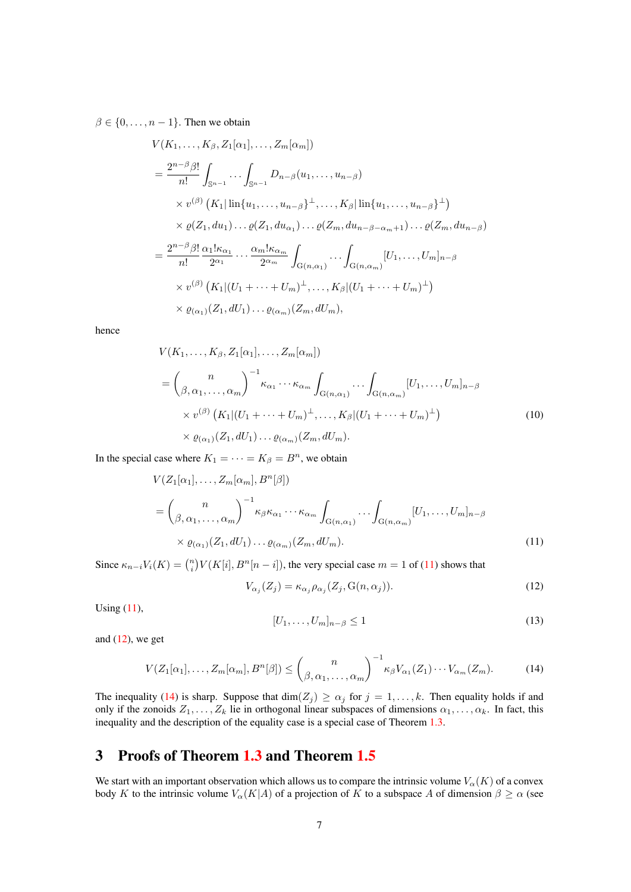$\beta \in \{0, \ldots, n-1\}$ . Then we obtain

$$
V(K_1, \ldots, K_\beta, Z_1[\alpha_1], \ldots, Z_m[\alpha_m])
$$
  
\n
$$
= \frac{2^{n-\beta}\beta!}{n!} \int_{\mathbb{S}^{n-1}} \cdots \int_{\mathbb{S}^{n-1}} D_{n-\beta}(u_1, \ldots, u_{n-\beta})
$$
  
\n
$$
\times v^{(\beta)} (K_1|\operatorname{lin}\{u_1, \ldots, u_{n-\beta}\}^{\perp}, \ldots, K_\beta|\operatorname{lin}\{u_1, \ldots, u_{n-\beta}\}^{\perp})
$$
  
\n
$$
\times \varrho(Z_1, du_1) \cdots \varrho(Z_1, du_{\alpha_1}) \cdots \varrho(Z_m, du_{n-\beta-\alpha_m+1}) \cdots \varrho(Z_m, du_{n-\beta})
$$
  
\n
$$
= \frac{2^{n-\beta}\beta!}{n!} \frac{\alpha_1! \kappa_{\alpha_1}}{2^{\alpha_1}} \cdots \frac{\alpha_m! \kappa_{\alpha_m}}{2^{\alpha_m}} \int_{G(n,\alpha_1)} \cdots \int_{G(n,\alpha_m)} [U_1, \ldots, U_m]_{n-\beta}
$$
  
\n
$$
\times v^{(\beta)} (K_1|(U_1 + \cdots + U_m)^{\perp}, \ldots, K_\beta|(U_1 + \cdots + U_m)^{\perp})
$$
  
\n
$$
\times \varrho_{(\alpha_1)}(Z_1, dU_1) \cdots \varrho_{(\alpha_m)}(Z_m, dU_m),
$$

hence

$$
V(K_1, \ldots, K_\beta, Z_1[\alpha_1], \ldots, Z_m[\alpha_m])
$$
  
=  $\left(\begin{array}{c} n \\ \beta, \alpha_1, \ldots, \alpha_m \end{array}\right)^{-1} \kappa_{\alpha_1} \cdots \kappa_{\alpha_m} \int_{G(n, \alpha_1)} \cdots \int_{G(n, \alpha_m)} [U_1, \ldots, U_m]_{n-\beta}$   
 $\times v^{(\beta)} (K_1 | (U_1 + \cdots + U_m)^{\perp}, \ldots, K_\beta | (U_1 + \cdots + U_m)^{\perp})$   
 $\times \varrho_{(\alpha_1)}(Z_1, dU_1) \ldots \varrho_{(\alpha_m)}(Z_m, dU_m).$  (10)

In the special case where  $K_1 = \cdots = K_\beta = B^n$ , we obtain

$$
V(Z_1[\alpha_1], \dots, Z_m[\alpha_m], B^n[\beta])
$$
  
=  $\binom{n}{\beta, \alpha_1, \dots, \alpha_m}^{-1} \kappa_{\beta} \kappa_{\alpha_1} \cdots \kappa_{\alpha_m} \int_{G(n, \alpha_1)} \cdots \int_{G(n, \alpha_m)} [U_1, \dots, U_m]_{n-\beta}$   
 $\times \varrho_{(\alpha_1)}(Z_1, dU_1) \dots \varrho_{(\alpha_m)}(Z_m, dU_m).$  (11)

Since  $\kappa_{n-i}V_i(K) = \binom{n}{i}V(K[i], B^n[n-i])$ , the very special case  $m = 1$  of [\(11\)](#page-6-0) shows that

<span id="page-6-3"></span><span id="page-6-1"></span>
$$
V_{\alpha_j}(Z_j) = \kappa_{\alpha_j} \rho_{\alpha_j}(Z_j, \mathcal{G}(n, \alpha_j)).
$$
\n(12)

Using  $(11)$ ,

<span id="page-6-4"></span><span id="page-6-0"></span>
$$
[U_1, \ldots, U_m]_{n-\beta} \le 1\tag{13}
$$

and  $(12)$ , we get

<span id="page-6-2"></span>
$$
V(Z_1[\alpha_1], \dots, Z_m[\alpha_m], B^n[\beta]) \le \binom{n}{\beta, \alpha_1, \dots, \alpha_m}^{-1} \kappa_\beta V_{\alpha_1}(Z_1) \cdots V_{\alpha_m}(Z_m). \tag{14}
$$

The inequality [\(14\)](#page-6-2) is sharp. Suppose that  $\dim(Z_j) \geq \alpha_j$  for  $j = 1, ..., k$ . Then equality holds if and only if the zonoids  $Z_1, \ldots, Z_k$  lie in orthogonal linear subspaces of dimensions  $\alpha_1, \ldots, \alpha_k$ . In fact, this inequality and the description of the equality case is a special case of Theorem [1.3.](#page-2-0)

## 3 Proofs of Theorem [1.3](#page-2-0) and Theorem [1.5](#page-3-0)

We start with an important observation which allows us to compare the intrinsic volume  $V_{\alpha}(K)$  of a convex body K to the intrinsic volume  $V_{\alpha}(K|A)$  of a projection of K to a subspace A of dimension  $\beta \geq \alpha$  (see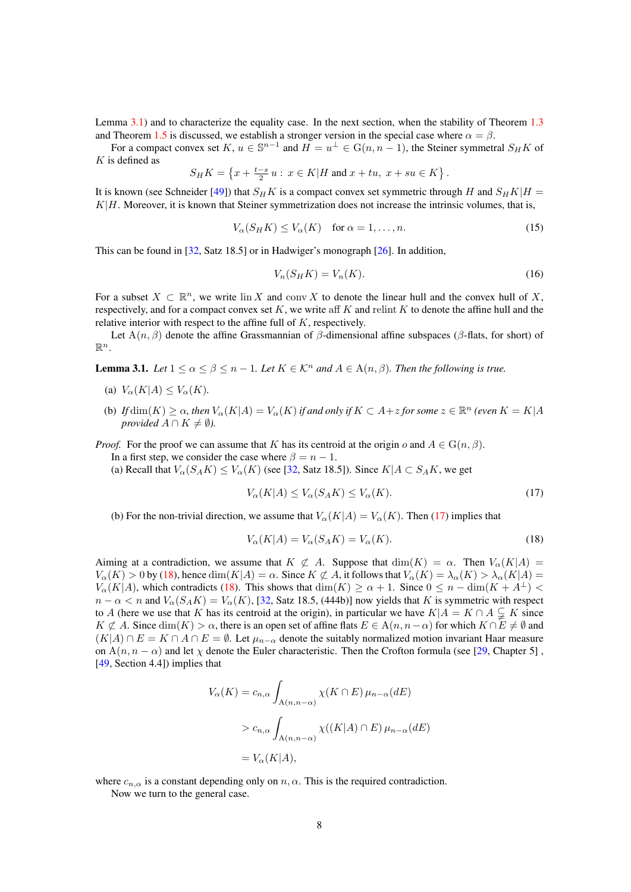<span id="page-7-5"></span>Lemma [3.1\)](#page-7-0) and to characterize the equality case. In the next section, when the stability of Theorem [1.3](#page-2-0) and Theorem [1.5](#page-3-0) is discussed, we establish a stronger version in the special case where  $\alpha = \beta$ .

For a compact convex set  $K, u \in \mathbb{S}^{n-1}$  and  $H = u^{\perp} \in G(n, n-1)$ , the Steiner symmetral  $S_H K$  of  $K$  is defined as

$$
S_H K = \left\{ x + \frac{t - s}{2} u : x \in K | H \text{ and } x + tu, \ x + su \in K \right\}.
$$

It is known (see Schneider [\[49\]](#page-24-0)) that  $S_HK$  is a compact convex set symmetric through H and  $S_HK|H =$  $K|H$ . Moreover, it is known that Steiner symmetrization does not increase the intrinsic volumes, that is,

<span id="page-7-3"></span>
$$
V_{\alpha}(S_H K) \le V_{\alpha}(K) \quad \text{for } \alpha = 1, \dots, n. \tag{15}
$$

This can be found in [\[32,](#page-23-19) Satz 18.5] or in Hadwiger's monograph [\[26\]](#page-23-20). In addition,

<span id="page-7-4"></span>
$$
V_n(S_H K) = V_n(K). \tag{16}
$$

For a subset  $X \subset \mathbb{R}^n$ , we write  $\text{lin } X$  and conv X to denote the linear hull and the convex hull of X, respectively, and for a compact convex set  $K$ , we write aff  $K$  and relint  $K$  to denote the affine hull and the relative interior with respect to the affine full of K, respectively.

Let  $A(n, \beta)$  denote the affine Grassmannian of  $\beta$ -dimensional affine subspaces ( $\beta$ -flats, for short) of  $\mathbb{R}^n$ .

<span id="page-7-0"></span>**Lemma 3.1.** *Let*  $1 \le \alpha \le \beta \le n - 1$ *. Let*  $K \in \mathcal{K}^n$  *and*  $A \in \mathcal{A}(n, \beta)$ *. Then the following is true.* 

- (a)  $V_{\alpha}(K|A) \leq V_{\alpha}(K)$ .
- (b) *If*  $\dim(K) \ge \alpha$ , then  $V_{\alpha}(K|A) = V_{\alpha}(K)$  *if and only if*  $K \subset A + z$  *for some*  $z \in \mathbb{R}^n$  *(even*  $K = K|A$ *provided*  $A \cap K \neq \emptyset$ *).*

*Proof.* For the proof we can assume that K has its centroid at the origin o and  $A \in G(n, \beta)$ .

In a first step, we consider the case where  $\beta = n - 1$ .

(a) Recall that  $V_{\alpha}(S_A K) \leq V_{\alpha}(K)$  (see [\[32,](#page-23-19) Satz 18.5]). Since  $K|A \subset S_A K$ , we get

<span id="page-7-1"></span>
$$
V_{\alpha}(K|A) \le V_{\alpha}(S_A K) \le V_{\alpha}(K). \tag{17}
$$

(b) For the non-trivial direction, we assume that  $V_{\alpha}(K|A) = V_{\alpha}(K)$ . Then [\(17\)](#page-7-1) implies that

<span id="page-7-2"></span>
$$
V_{\alpha}(K|A) = V_{\alpha}(S_A K) = V_{\alpha}(K). \tag{18}
$$

Aiming at a contradiction, we assume that  $K \not\subset A$ . Suppose that  $\dim(K) = \alpha$ . Then  $V_{\alpha}(K|A) =$  $V_{\alpha}(K) > 0$  by [\(18\)](#page-7-2), hence  $\dim(K|A) = \alpha$ . Since  $K \not\subset A$ , it follows that  $V_{\alpha}(K) = \lambda_{\alpha}(K) > \lambda_{\alpha}(K|A) =$  $V_{\alpha}(K|A)$ , which contradicts [\(18\)](#page-7-2). This shows that  $\dim(K) \ge \alpha + 1$ . Since  $0 \le n - \dim(K + A^{\perp})$  $n - \alpha < n$  and  $V_{\alpha}(S_A K) = V_{\alpha}(K)$ , [\[32,](#page-23-19) Satz 18.5, (444b)] now yields that K is symmetric with respect to A (here we use that K has its centroid at the origin), in particular we have  $K|A = K \cap A \subsetneq K$  since  $K \not\subset A$ . Since  $\dim(K) > \alpha$ , there is an open set of affine flats  $E \in A(n, n-\alpha)$  for which  $K \cap E \neq \emptyset$  and  $(K|A) \cap E = K \cap A \cap E = \emptyset$ . Let  $\mu_{n-\alpha}$  denote the suitably normalized motion invariant Haar measure on  $A(n, n - \alpha)$  and let  $\chi$  denote the Euler characteristic. Then the Crofton formula (see [\[29,](#page-23-0) Chapter 5], [\[49,](#page-24-0) Section 4.4]) implies that

$$
V_{\alpha}(K) = c_{n,\alpha} \int_{A(n,n-\alpha)} \chi(K \cap E) \mu_{n-\alpha}(dE)
$$
  
> 
$$
c_{n,\alpha} \int_{A(n,n-\alpha)} \chi((K|A) \cap E) \mu_{n-\alpha}(dE)
$$
  
= 
$$
V_{\alpha}(K|A),
$$

where  $c_{n,\alpha}$  is a constant depending only on  $n, \alpha$ . This is the required contradiction. Now we turn to the general case.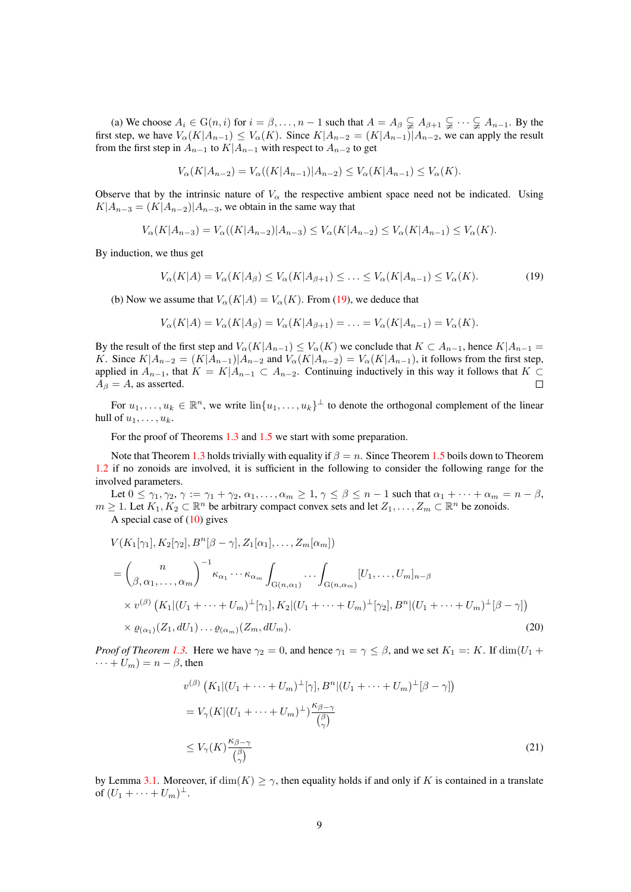(a) We choose  $A_i \in G(n, i)$  for  $i = \beta, \dots, n-1$  such that  $A = A_\beta \subsetneq A_{\beta+1} \subsetneq \dots \subsetneq A_{n-1}$ . By the first step, we have  $V_{\alpha}(K|A_{n-1}) \leq V_{\alpha}(K)$ . Since  $K|A_{n-2} = (K|A_{n-1})|A_{n-2}$ , we can apply the result from the first step in  $A_{n-1}$  to  $K|A_{n-1}$  with respect to  $A_{n-2}$  to get

$$
V_{\alpha}(K|A_{n-2}) = V_{\alpha}((K|A_{n-1})|A_{n-2}) \le V_{\alpha}(K|A_{n-1}) \le V_{\alpha}(K).
$$

Observe that by the intrinsic nature of  $V_\alpha$  the respective ambient space need not be indicated. Using  $K|A_{n-3} = (K|A_{n-2})|A_{n-3}$ , we obtain in the same way that

$$
V_{\alpha}(K|A_{n-3}) = V_{\alpha}((K|A_{n-2})|A_{n-3}) \le V_{\alpha}(K|A_{n-2}) \le V_{\alpha}(K|A_{n-1}) \le V_{\alpha}(K).
$$

By induction, we thus get

<span id="page-8-0"></span>
$$
V_{\alpha}(K|A) = V_{\alpha}(K|A_{\beta}) \le V_{\alpha}(K|A_{\beta+1}) \le \ldots \le V_{\alpha}(K|A_{n-1}) \le V_{\alpha}(K). \tag{19}
$$

(b) Now we assume that  $V_{\alpha}(K|A) = V_{\alpha}(K)$ . From [\(19\)](#page-8-0), we deduce that

$$
V_{\alpha}(K|A) = V_{\alpha}(K|A_{\beta}) = V_{\alpha}(K|A_{\beta+1}) = \ldots = V_{\alpha}(K|A_{n-1}) = V_{\alpha}(K).
$$

By the result of the first step and  $V_{\alpha}(K|A_{n-1}) \leq V_{\alpha}(K)$  we conclude that  $K \subset A_{n-1}$ , hence  $K|A_{n-1} =$ K. Since  $K|A_{n-2} = (K|A_{n-1})|A_{n-2}$  and  $V_{\alpha}(K|A_{n-2}) = V_{\alpha}(K|A_{n-1})$ , it follows from the first step, applied in  $A_{n-1}$ , that  $K = K|A_{n-1} \subset A_{n-2}$ . Continuing inductively in this way it follows that  $K \subset$  $A_{\beta} = A$ , as asserted.  $\Box$ 

For  $u_1, \ldots, u_k \in \mathbb{R}^n$ , we write  $\text{lin}\{u_1, \ldots, u_k\}^{\perp}$  to denote the orthogonal complement of the linear hull of  $u_1, \ldots, u_k$ .

For the proof of Theorems [1.3](#page-2-0) and [1.5](#page-3-0) we start with some preparation.

Note that Theorem [1.3](#page-2-0) holds trivially with equality if  $\beta = n$ . Since Theorem [1.5](#page-3-0) boils down to Theorem [1.2](#page-1-1) if no zonoids are involved, it is sufficient in the following to consider the following range for the involved parameters.

Let  $0 \leq \gamma_1, \gamma_2, \gamma := \gamma_1 + \gamma_2, \alpha_1, \ldots, \alpha_m \geq 1, \gamma \leq \beta \leq n-1$  such that  $\alpha_1 + \cdots + \alpha_m = n - \beta$ ,  $m \geq 1$ . Let  $K_1, K_2 \subset \mathbb{R}^n$  be arbitrary compact convex sets and let  $Z_1, \ldots, Z_m \subset \mathbb{R}^n$  be zonoids. A special case of  $(10)$  gives

$$
V(K_{1}[\gamma_{1}], K_{2}[\gamma_{2}], B^{n}[\beta - \gamma], Z_{1}[\alpha_{1}], \dots, Z_{m}[\alpha_{m}])
$$
  
=  $\binom{n}{\beta, \alpha_{1}, \dots, \alpha_{m}}^{-1} \kappa_{\alpha_{1}} \cdots \kappa_{\alpha_{m}} \int_{G(n, \alpha_{1})} \cdots \int_{G(n, \alpha_{m})} [U_{1}, \dots, U_{m}]_{n-\beta}$   
 $\times v^{(\beta)} (K_{1}|(U_{1} + \dots + U_{m})^{\perp}[\gamma_{1}], K_{2}|(U_{1} + \dots + U_{m})^{\perp}[\gamma_{2}], B^{n}|(U_{1} + \dots + U_{m})^{\perp}[\beta - \gamma])$   
 $\times \varrho_{(\alpha_{1})}(Z_{1}, dU_{1}) \cdots \varrho_{(\alpha_{m})}(Z_{m}, dU_{m}).$  (20)

*Proof of Theorem [1.3.](#page-2-0)* Here we have  $\gamma_2 = 0$ , and hence  $\gamma_1 = \gamma \leq \beta$ , and we set  $K_1 =: K$ . If  $\dim(U_1 +$  $\cdots + U_m$ ) =  $n - \beta$ , then

<span id="page-8-2"></span><span id="page-8-1"></span>
$$
v^{(\beta)}\left(K_1|(U_1+\cdots+U_m)^{\perp}[\gamma], B^n|(U_1+\cdots+U_m)^{\perp}[\beta-\gamma]\right)
$$
  
=  $V_{\gamma}(K|(U_1+\cdots+U_m)^{\perp})\frac{\kappa_{\beta-\gamma}}{\binom{\beta}{\gamma}}$   

$$
\le V_{\gamma}(K)\frac{\kappa_{\beta-\gamma}}{\binom{\beta}{\gamma}}
$$
 (21)

by Lemma [3.1.](#page-7-0) Moreover, if  $\dim(K) \geq \gamma$ , then equality holds if and only if K is contained in a translate of  $(U_1 + \cdots + U_m)^{\perp}$ .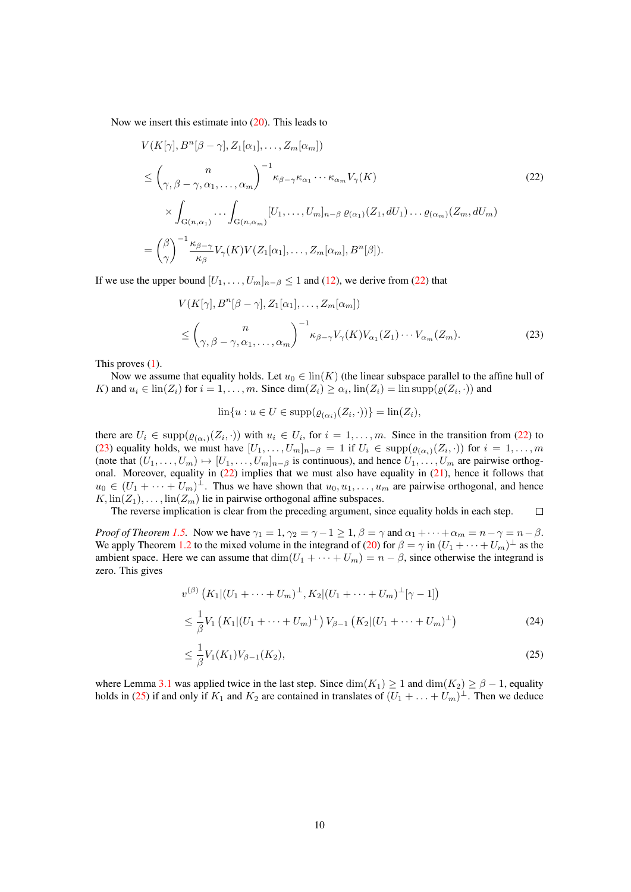Now we insert this estimate into [\(20\)](#page-8-1). This leads to

$$
V(K[\gamma], B^{n}[\beta-\gamma], Z_{1}[\alpha_{1}], \dots, Z_{m}[\alpha_{m}])
$$
\n
$$
\leq {n \choose \gamma, \beta-\gamma, \alpha_{1}, \dots, \alpha_{m}}^{-1} \kappa_{\beta-\gamma} \kappa_{\alpha_{1}} \cdots \kappa_{\alpha_{m}} V_{\gamma}(K)
$$
\n
$$
\times \int_{G(n,\alpha_{1})} \cdots \int_{G(n,\alpha_{m})} [U_{1}, \dots, U_{m}]_{n-\beta} \varrho_{(\alpha_{1})}(Z_{1}, dU_{1}) \dots \varrho_{(\alpha_{m})}(Z_{m}, dU_{m})
$$
\n
$$
= {(\beta \choose \gamma})^{-1} \frac{\kappa_{\beta-\gamma}}{\kappa_{\beta}} V_{\gamma}(K) V(Z_{1}[\alpha_{1}], \dots, Z_{m}[\alpha_{m}], B^{n}[\beta]).
$$
\n(22)

If we use the upper bound  $[U_1, \ldots, U_m]_{n-\beta} \leq 1$  and [\(12\)](#page-6-1), we derive from [\(22\)](#page-9-0) that

<span id="page-9-0"></span>
$$
V(K[\gamma], B^n[\beta - \gamma], Z_1[\alpha_1], \dots, Z_m[\alpha_m])
$$
  
\n
$$
\leq {n \choose \gamma, \beta - \gamma, \alpha_1, \dots, \alpha_m}^{-1} \kappa_{\beta - \gamma} V_{\gamma}(K) V_{\alpha_1}(Z_1) \cdots V_{\alpha_m}(Z_m).
$$
\n(23)

This proves [\(1\)](#page-2-1).

Now we assume that equality holds. Let  $u_0 \in \text{lin}(K)$  (the linear subspace parallel to the affine hull of K) and  $u_i \in \text{lin}(Z_i)$  for  $i = 1, ..., m$ . Since  $\dim(Z_i) \ge \alpha_i$ ,  $\text{lin}(Z_i) = \text{lin} \text{supp}(\varrho(Z_i, \cdot))$  and

<span id="page-9-1"></span>
$$
\ln\{u: u \in U \in \text{supp}(\varrho_{(\alpha_i)}(Z_i, \cdot))\} = \ln(Z_i),
$$

there are  $U_i \in \text{supp}(\varrho_{(\alpha_i)}(Z_i, \cdot))$  with  $u_i \in U_i$ , for  $i = 1, \ldots, m$ . Since in the transition from [\(22\)](#page-9-0) to [\(23\)](#page-9-1) equality holds, we must have  $[U_1, \ldots, U_m]_{n-\beta} = 1$  if  $U_i \in \text{supp}(\varrho_{(\alpha_i)}(Z_i, \cdot))$  for  $i = 1, \ldots, m$ (note that  $(U_1, \ldots, U_m) \mapsto [U_1, \ldots, U_m]_{n-\beta}$  is continuous), and hence  $U_1, \ldots, U_m$  are pairwise orthogonal. Moreover, equality in [\(22\)](#page-9-0) implies that we must also have equality in [\(21\)](#page-8-2), hence it follows that  $u_0 \in (U_1 + \cdots + U_m)^{\perp}$ . Thus we have shown that  $u_0, u_1, \ldots, u_m$  are pairwise orthogonal, and hence  $K$ ,  $\text{lin}(Z_1), \ldots, \text{lin}(Z_m)$  lie in pairwise orthogonal affine subspaces.

The reverse implication is clear from the preceding argument, since equality holds in each step.  $\Box$ 

*Proof of Theorem [1.5.](#page-3-0)* Now we have  $\gamma_1 = 1$ ,  $\gamma_2 = \gamma - 1 \ge 1$ ,  $\beta = \gamma$  and  $\alpha_1 + \cdots + \alpha_m = n - \gamma = n - \beta$ . We apply Theorem [1.2](#page-1-1) to the mixed volume in the integrand of [\(20\)](#page-8-1) for  $\beta = \gamma$  in  $(U_1 + \cdots + U_m)^{\perp}$  as the ambient space. Here we can assume that  $\dim(U_1 + \cdots + U_m) = n - \beta$ , since otherwise the integrand is zero. This gives

<span id="page-9-3"></span>
$$
v^{(\beta)}\left(K_1|(U_1+\cdots+U_m)^{\perp}, K_2|(U_1+\cdots+U_m)^{\perp}[\gamma-1]\right)
$$
  

$$
\leq \frac{1}{\beta}V_1\left(K_1|(U_1+\cdots+U_m)^{\perp}\right)V_{\beta-1}\left(K_2|(U_1+\cdots+U_m)^{\perp}\right)
$$
(24)

<span id="page-9-2"></span>
$$
\leq \frac{1}{\beta} V_1(K_1) V_{\beta - 1}(K_2),\tag{25}
$$

where Lemma [3.1](#page-7-0) was applied twice in the last step. Since  $\dim(K_1) \geq 1$  and  $\dim(K_2) \geq \beta - 1$ , equality holds in [\(25\)](#page-9-2) if and only if  $K_1$  and  $K_2$  are contained in translates of  $(U_1 + \ldots + U_m)^{\perp}$ . Then we deduce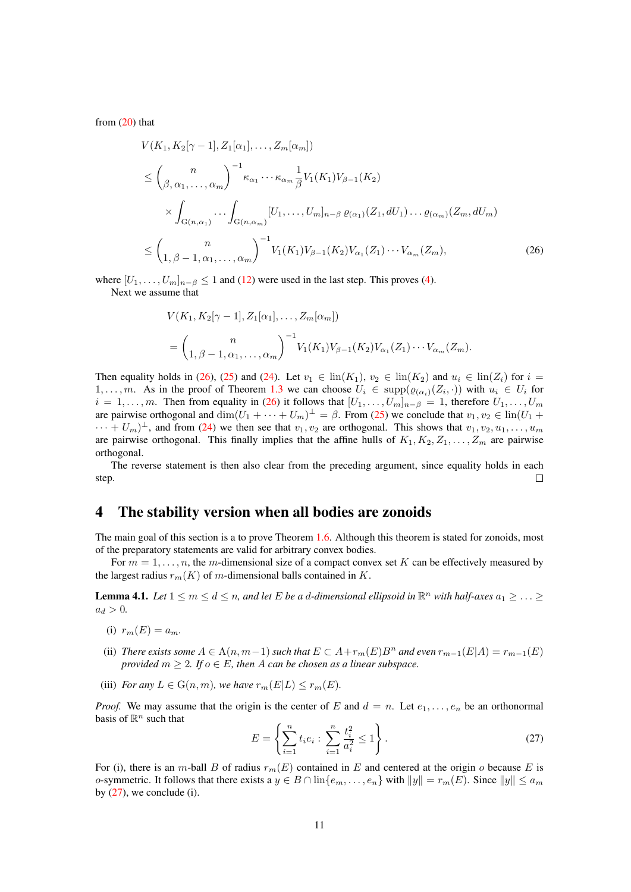from  $(20)$  that

$$
V(K_1, K_2[\gamma - 1], Z_1[\alpha_1], ..., Z_m[\alpha_m])
$$
  
\n
$$
\leq {n \choose \beta, \alpha_1, ..., \alpha_m}^{-1} \kappa_{\alpha_1} \cdots \kappa_{\alpha_m} \frac{1}{\beta} V_1(K_1) V_{\beta - 1}(K_2)
$$
  
\n
$$
\times \int_{G(n, \alpha_1)} \cdots \int_{G(n, \alpha_m)} [U_1, ..., U_m]_{n - \beta} \varrho_{(\alpha_1)}(Z_1, dU_1) \cdots \varrho_{(\alpha_m)}(Z_m, dU_m)
$$
  
\n
$$
\leq {n \choose 1, \beta - 1, \alpha_1, ..., \alpha_m}^{-1} V_1(K_1) V_{\beta - 1}(K_2) V_{\alpha_1}(Z_1) \cdots V_{\alpha_m}(Z_m),
$$
\n(26)

where  $[U_1, \ldots, U_m]_{n-\beta} \leq 1$  and [\(12\)](#page-6-1) were used in the last step. This proves [\(4\)](#page-3-1). Next we assume that

<span id="page-10-1"></span>
$$
V(K_1, K_2[\gamma - 1], Z_1[\alpha_1], \dots, Z_m[\alpha_m])
$$
  
=  $\binom{n}{1, \beta - 1, \alpha_1, \dots, \alpha_m}^{-1} V_1(K_1) V_{\beta - 1}(K_2) V_{\alpha_1}(Z_1) \cdots V_{\alpha_m}(Z_m).$ 

Then equality holds in [\(26\)](#page-10-1), [\(25\)](#page-9-2) and [\(24\)](#page-9-3). Let  $v_1 \in \text{lin}(K_1)$ ,  $v_2 \in \text{lin}(K_2)$  and  $u_i \in \text{lin}(Z_i)$  for  $i =$ 1,..., m. As in the proof of Theorem [1.3](#page-2-0) we can choose  $U_i \in \text{supp}(\varrho_{(\alpha_i)}(Z_i, \cdot))$  with  $u_i \in U_i$  for  $i = 1, \ldots, m$ . Then from equality in [\(26\)](#page-10-1) it follows that  $[U_1, \ldots, U_m]_{n-\beta} = 1$ , therefore  $U_1, \ldots, U_m$ are pairwise orthogonal and  $\dim(U_1 + \cdots + U_m)^{\perp} = \beta$ . From [\(25\)](#page-9-2) we conclude that  $v_1, v_2 \in \text{lin}(U_1 +$  $\cdots + U_m)^{\perp}$ , and from [\(24\)](#page-9-3) we then see that  $v_1, v_2$  are orthogonal. This shows that  $v_1, v_2, u_1, \ldots, u_m$ are pairwise orthogonal. This finally implies that the affine hulls of  $K_1, K_2, Z_1, \ldots, Z_m$  are pairwise orthogonal.

The reverse statement is then also clear from the preceding argument, since equality holds in each step.  $\Box$ 

#### <span id="page-10-0"></span>4 The stability version when all bodies are zonoids

The main goal of this section is a to prove Theorem [1.6.](#page-4-2) Although this theorem is stated for zonoids, most of the preparatory statements are valid for arbitrary convex bodies.

For  $m = 1, \ldots, n$ , the m-dimensional size of a compact convex set K can be effectively measured by the largest radius  $r_m(K)$  of m-dimensional balls contained in K.

<span id="page-10-3"></span>**Lemma 4.1.** Let  $1 \le m \le d \le n$ , and let E be a d-dimensional ellipsoid in  $\mathbb{R}^n$  with half-axes  $a_1 \ge \ldots \ge$  $a_d > 0.$ 

- (i)  $r_m(E) = a_m$ .
- (ii) *There exists some*  $A \in A(n, m-1)$  *such that*  $E \subset A + r_m(E)B^n$  *and even*  $r_{m-1}(E|A) = r_{m-1}(E)$ *provided*  $m > 2$ *. If*  $o \in E$ *, then* A *can be chosen as a linear subspace.*
- (iii) *For any*  $L \in G(n, m)$ *, we have*  $r_m(E|L) \le r_m(E)$ *.*

*Proof.* We may assume that the origin is the center of E and  $d = n$ . Let  $e_1, \ldots, e_n$  be an orthonormal basis of  $\mathbb{R}^n$  such that

<span id="page-10-2"></span>
$$
E = \left\{ \sum_{i=1}^{n} t_i e_i : \sum_{i=1}^{n} \frac{t_i^2}{a_i^2} \le 1 \right\}.
$$
 (27)

For (i), there is an m-ball B of radius  $r_m(E)$  contained in E and centered at the origin o because E is o-symmetric. It follows that there exists a  $y \in B \cap \text{lin}\{e_m, \ldots, e_n\}$  with  $||y|| = r_m(E)$ . Since  $||y|| \le a_m$ by  $(27)$ , we conclude (i).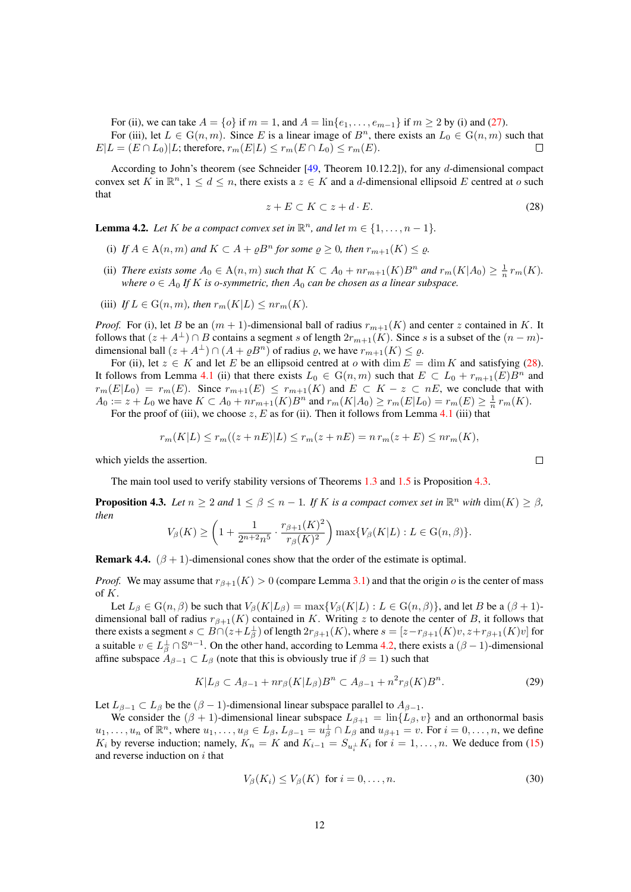<span id="page-11-5"></span>For (ii), we can take  $A = \{o\}$  if  $m = 1$ , and  $A = \ln\{e_1, \ldots, e_{m-1}\}$  if  $m \ge 2$  by (i) and [\(27\)](#page-10-2). For (iii), let  $L \in G(n, m)$ . Since E is a linear image of  $B<sup>n</sup>$ , there exists an  $L_0 \in G(n, m)$  such that  $E|L = (E \cap L_0)|L$ ; therefore,  $r_m(E|L) \le r_m(E \cap L_0) \le r_m(E)$ .  $\Box$ 

According to John's theorem (see Schneider [\[49,](#page-24-0) Theorem 10.12.2]), for any d-dimensional compact convex set K in  $\mathbb{R}^n$ ,  $1 \leq d \leq n$ , there exists a  $z \in K$  and a d-dimensional ellipsoid E centred at o such that

<span id="page-11-0"></span>
$$
z + E \subset K \subset z + d \cdot E. \tag{28}
$$

<span id="page-11-2"></span>**Lemma 4.2.** Let K be a compact convex set in  $\mathbb{R}^n$ , and let  $m \in \{1, \ldots, n-1\}$ .

- (i) If  $A \in \Lambda(n,m)$  and  $K \subset A + \rho B^n$  for some  $\rho \geq 0$ , then  $r_{m+1}(K) \leq \rho$ .
- (ii) *There exists some*  $A_0 \in A(n,m)$  *such that*  $K \subset A_0 + nr_{m+1}(K)B^n$  *and*  $r_m(K|A_0) \geq \frac{1}{n}r_m(K)$ *. where*  $o \in A_0$  *If K is o-symmetric, then*  $A_0$  *can be chosen as a linear subspace.*
- (iii) *If*  $L \in G(n, m)$ *, then*  $r_m(K|L) \leq nr_m(K)$ *.*

*Proof.* For (i), let B be an  $(m + 1)$ -dimensional ball of radius  $r_{m+1}(K)$  and center z contained in K. It follows that  $(z + A^{\perp}) \cap B$  contains a segment s of length  $2r_{m+1}(K)$ . Since s is a subset of the  $(n - m)$ dimensional ball  $(z + A^{\perp}) \cap (A + \varrho B^n)$  of radius  $\varrho$ , we have  $r_{m+1}(K) \leq \varrho$ .

For (ii), let  $z \in K$  and let E be an ellipsoid centred at o with dim  $E = \dim K$  and satisfying [\(28\)](#page-11-0). It follows from Lemma [4.1](#page-10-3) (ii) that there exists  $L_0 \in G(n,m)$  such that  $E \subset L_0 + r_{m+1}(E)B^n$  and  $r_m(E|L_0) = r_m(E)$ . Since  $r_{m+1}(E) \leq r_{m+1}(K)$  and  $E \subset K - z \subset nE$ , we conclude that with  $A_0 := z + L_0$  we have  $K \subset A_0 + nr_{m+1}(K)B^n$  and  $r_m(K|A_0) \ge r_m(E|L_0) = r_m(E) \ge \frac{1}{n} r_m(K)$ .

For the proof of (iii), we choose  $z, E$  as for (ii). Then it follows from Lemma [4.1](#page-10-3) (iii) that

$$
r_m(K|L) \le r_m((z+nE)|L) \le r_m(z+nE) = n r_m(z+E) \le nr_m(K),
$$

which yields the assertion.

The main tool used to verify stability versions of Theorems [1.3](#page-2-0) and [1.5](#page-3-0) is Proposition [4.3.](#page-11-1)

<span id="page-11-1"></span>**Proposition 4.3.** *Let*  $n \ge 2$  *and*  $1 \le \beta \le n - 1$ *. If* K *is a compact convex set in*  $\mathbb{R}^n$  *with*  $\dim(K) \ge \beta$ *, then* 22.24

$$
V_{\beta}(K) \ge \left(1 + \frac{1}{2^{n+2}n^5} \cdot \frac{r_{\beta+1}(K)^2}{r_{\beta}(K)^2}\right) \max\{V_{\beta}(K|L) : L \in \mathcal{G}(n,\beta)\}.
$$

**Remark 4.4.**  $(\beta + 1)$ -dimensional cones show that the order of the estimate is optimal.

*Proof.* We may assume that  $r_{\beta+1}(K) > 0$  (compare Lemma [3.1\)](#page-7-0) and that the origin o is the center of mass of K.

Let  $L_\beta \in G(n, \beta)$  be such that  $V_\beta(K|L_\beta) = \max\{V_\beta(K|L) : L \in G(n, \beta)\}\)$ , and let B be a  $(\beta + 1)$ dimensional ball of radius  $r_{\beta+1}(K)$  contained in K. Writing z to denote the center of B, it follows that there exists a segment  $s \subset B \cap (z + L_{\beta}^{\perp})$  of length  $2r_{\beta+1}(K)$ , where  $s = [z - r_{\beta+1}(K)v, z + r_{\beta+1}(K)v]$  for a suitable  $v \in L^{\perp}_{\beta} \cap \mathbb{S}^{n-1}$ . On the other hand, according to Lemma [4.2,](#page-11-2) there exists a  $(\beta - 1)$ -dimensional affine subspace  $A_{\beta-1} \subset L_{\beta}$  (note that this is obviously true if  $\beta = 1$ ) such that

<span id="page-11-3"></span>
$$
K|L_{\beta} \subset A_{\beta-1} + nr_{\beta}(K|L_{\beta})B^n \subset A_{\beta-1} + n^2 r_{\beta}(K)B^n. \tag{29}
$$

Let  $L_{\beta-1} \subset L_{\beta}$  be the  $(\beta - 1)$ -dimensional linear subspace parallel to  $A_{\beta-1}$ .

We consider the  $(\beta + 1)$ -dimensional linear subspace  $L_{\beta+1} = \ln\{L_{\beta}, v\}$  and an orthonormal basis  $u_1, \ldots, u_n$  of  $\mathbb{R}^n$ , where  $u_1, \ldots, u_\beta \in L_\beta$ ,  $L_{\beta-1} = u_\beta^\perp \cap L_\beta$  and  $u_{\beta+1} = v$ . For  $i = 0, \ldots, n$ , we define  $K_i$  by reverse induction; namely,  $K_n = K$  and  $K_{i-1} = S_{u_i^{\perp}} K_i$  for  $i = 1, ..., n$ . We deduce from [\(15\)](#page-7-3) and reverse induction on  $i$  that

<span id="page-11-4"></span>
$$
V_{\beta}(K_i) \le V_{\beta}(K) \text{ for } i = 0, \dots, n. \tag{30}
$$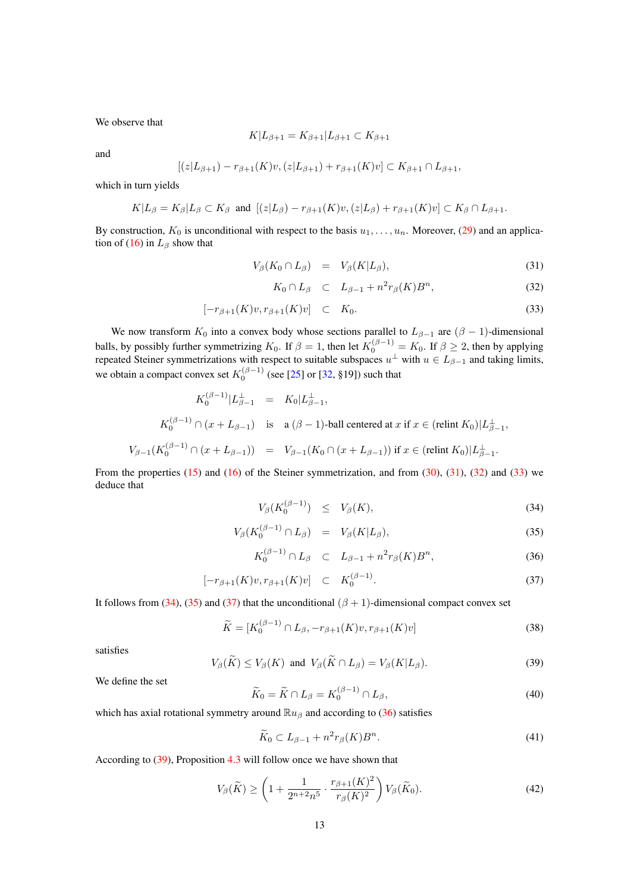<span id="page-12-7"></span>We observe that

$$
K|L_{\beta+1} = K_{\beta+1}|L_{\beta+1} \subset K_{\beta+1}
$$

and

$$
[(z|L_{\beta+1})-r_{\beta+1}(K)v,(z|L_{\beta+1})+r_{\beta+1}(K)v]\subset K_{\beta+1}\cap L_{\beta+1},
$$

which in turn yields

$$
K|L_{\beta}=K_{\beta}|L_{\beta}\subset K_{\beta} \text{ and } [(z|L_{\beta})-r_{\beta+1}(K)v,(z|L_{\beta})+r_{\beta+1}(K)v]\subset K_{\beta}\cap L_{\beta+1}.
$$

By construction,  $K_0$  is unconditional with respect to the basis  $u_1, \ldots, u_n$ . Moreover, [\(29\)](#page-11-3) and an applica-tion of [\(16\)](#page-7-4) in  $L_\beta$  show that

<span id="page-12-0"></span>
$$
V_{\beta}(K_0 \cap L_{\beta}) = V_{\beta}(K|L_{\beta}), \qquad (31)
$$

$$
K_0 \cap L_\beta \quad \subset \quad L_{\beta-1} + n^2 r_\beta(K) B^n,\tag{32}
$$

$$
[-r_{\beta+1}(K)v, r_{\beta+1}(K)v] \quad \subset \quad K_0. \tag{33}
$$

We now transform  $K_0$  into a convex body whose sections parallel to  $L_{\beta-1}$  are  $(\beta - 1)$ -dimensional balls, by possibly further symmetrizing  $K_0$ . If  $\beta = 1$ , then let  $K_0^{(\beta - 1)} = K_0$ . If  $\beta \ge 2$ , then by applying repeated Steiner symmetrizations with respect to suitable subspaces  $u^{\perp}$  with  $u \in L_{\beta-1}$  and taking limits, we obtain a compact convex set  $K_0^{(\beta-1)}$  (see [\[25\]](#page-23-21) or [\[32,](#page-23-19) §19]) such that

$$
K_0^{(\beta-1)}|L_{\beta-1}^{\perp} = K_0|L_{\beta-1}^{\perp},
$$
  
\n
$$
K_0^{(\beta-1)} \cap (x + L_{\beta-1}) \text{ is a } (\beta - 1)\text{-ball centered at } x \text{ if } x \in (\text{relint } K_0)|L_{\beta-1}^{\perp},
$$
  
\n
$$
V_{\beta-1}(K_0^{(\beta-1)} \cap (x + L_{\beta-1})) = V_{\beta-1}(K_0 \cap (x + L_{\beta-1})) \text{ if } x \in (\text{relint } K_0)|L_{\beta-1}^{\perp}.
$$

From the properties  $(15)$  and  $(16)$  of the Steiner symmetrization, and from  $(30)$ ,  $(31)$ ,  $(32)$  and  $(33)$  we deduce that

<span id="page-12-1"></span>
$$
V_{\beta}(K_0^{(\beta-1)}) \le V_{\beta}(K), \tag{34}
$$

$$
V_{\beta}(K_0^{(\beta-1)} \cap L_{\beta}) = V_{\beta}(K|L_{\beta}), \qquad (35)
$$

$$
K_0^{(\beta -1)} \cap L_\beta \quad \subset \quad L_{\beta -1} + n^2 r_\beta(K) B^n,\tag{36}
$$

$$
[-r_{\beta+1}(K)v, r_{\beta+1}(K)v] \quad \subset \quad K_0^{(\beta-1)}.
$$
\n(37)

It follows from [\(34\)](#page-12-1), [\(35\)](#page-12-1) and [\(37\)](#page-12-1) that the unconditional ( $\beta + 1$ )-dimensional compact convex set

<span id="page-12-3"></span>
$$
\widetilde{K} = [K_0^{(\beta - 1)} \cap L_\beta, -r_{\beta + 1}(K)v, r_{\beta + 1}(K)v]
$$
\n(38)

satisfies

<span id="page-12-2"></span>
$$
V_{\beta}(\widetilde{K}) \le V_{\beta}(K) \text{ and } V_{\beta}(\widetilde{K} \cap L_{\beta}) = V_{\beta}(K|L_{\beta}).
$$
\n(39)

We define the set

<span id="page-12-4"></span>
$$
\widetilde{K}_0 = \widetilde{K} \cap L_\beta = K_0^{(\beta - 1)} \cap L_\beta,\tag{40}
$$

which has axial rotational symmetry around  $\mathbb{R}u_{\beta}$  and according to [\(36\)](#page-12-1) satisfies

<span id="page-12-5"></span>
$$
\widetilde{K}_0 \subset L_{\beta - 1} + n^2 r_\beta(K) B^n. \tag{41}
$$

According to [\(39\)](#page-12-2), Proposition [4.3](#page-11-1) will follow once we have shown that

<span id="page-12-6"></span>
$$
V_{\beta}(\widetilde{K}) \ge \left(1 + \frac{1}{2^{n+2}n^5} \cdot \frac{r_{\beta+1}(K)^2}{r_{\beta}(K)^2}\right) V_{\beta}(\widetilde{K}_0). \tag{42}
$$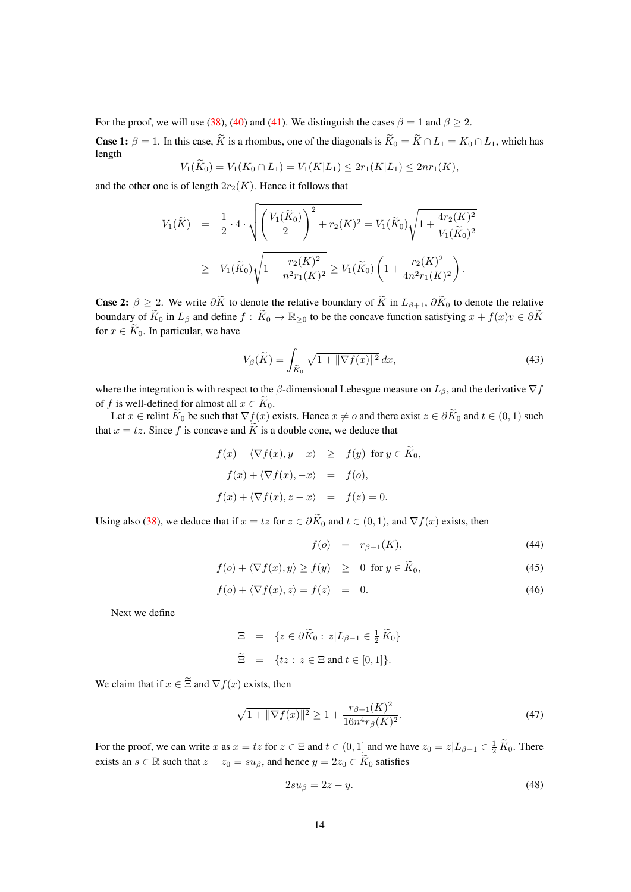For the proof, we will use [\(38\)](#page-12-3), [\(40\)](#page-12-4) and [\(41\)](#page-12-5). We distinguish the cases  $\beta = 1$  and  $\beta \ge 2$ .

**Case 1:**  $\beta = 1$ . In this case,  $\widetilde{K}$  is a rhombus, one of the diagonals is  $\widetilde{K}_0 = \widetilde{K} \cap L_1 = K_0 \cap L_1$ , which has length

$$
V_1(K_0) = V_1(K_0 \cap L_1) = V_1(K|L_1) \le 2r_1(K|L_1) \le 2nr_1(K),
$$

and the other one is of length  $2r_2(K)$ . Hence it follows that

$$
V_1(\widetilde{K}) = \frac{1}{2} \cdot 4 \cdot \sqrt{\left(\frac{V_1(\widetilde{K}_0)}{2}\right)^2 + r_2(K)^2} = V_1(\widetilde{K}_0) \sqrt{1 + \frac{4r_2(K)^2}{V_1(\widetilde{K}_0)^2}}
$$
  
\n
$$
\geq V_1(\widetilde{K}_0) \sqrt{1 + \frac{r_2(K)^2}{n^2 r_1(K)^2}} \geq V_1(\widetilde{K}_0) \left(1 + \frac{r_2(K)^2}{4n^2 r_1(K)^2}\right).
$$

**Case 2:**  $\beta \geq 2$ . We write  $\partial \widetilde{K}$  to denote the relative boundary of  $\widetilde{K}$  in  $L_{\beta+1}$ ,  $\partial \widetilde{K}_0$  to denote the relative boundary of  $\widetilde{K}_0$  in  $L_\beta$  and define  $f : \widetilde{K}_0 \to \mathbb{R}_{\geq 0}$  to be the concave function satisfying  $x + f(x)v \in \partial \widetilde{K}$ for  $x \in \widetilde{K}_0$ . In particular, we have

<span id="page-13-3"></span>
$$
V_{\beta}(\widetilde{K}) = \int_{\widetilde{K}_0} \sqrt{1 + \|\nabla f(x)\|^2} \, dx,\tag{43}
$$

where the integration is with respect to the  $\beta$ -dimensional Lebesgue measure on  $L_{\beta}$ , and the derivative  $\nabla f$ of f is well-defined for almost all  $x \in \widetilde{K}_0$ .

Let  $x \in$  relint  $\widetilde{K}_0$  be such that  $\nabla f(x)$  exists. Hence  $x \neq o$  and there exist  $z \in \partial \widetilde{K}_0$  and  $t \in (0,1)$  such that  $x = tz$ . Since f is concave and  $\widetilde{K}$  is a double cone, we deduce that

$$
f(x) + \langle \nabla f(x), y - x \rangle \geq f(y) \text{ for } y \in \tilde{K}_0,
$$
  

$$
f(x) + \langle \nabla f(x), -x \rangle = f(o),
$$
  

$$
f(x) + \langle \nabla f(x), z - x \rangle = f(z) = 0.
$$

Using also [\(38\)](#page-12-3), we deduce that if  $x = tz$  for  $z \in \partial \widetilde{K}_0$  and  $t \in (0,1)$ , and  $\nabla f(x)$  exists, then

<span id="page-13-0"></span>
$$
f(o) = r_{\beta+1}(K), \tag{44}
$$

$$
f(o) + \langle \nabla f(x), y \rangle \ge f(y) \ge 0 \text{ for } y \in \widetilde{K}_0,
$$
 (45)

$$
f(o) + \langle \nabla f(x), z \rangle = f(z) = 0. \tag{46}
$$

Next we define

$$
\Xi = \{ z \in \partial \widetilde{K}_0 : z | L_{\beta - 1} \in \frac{1}{2} \widetilde{K}_0 \}
$$
  

$$
\widetilde{\Xi} = \{ tz : z \in \Xi \text{ and } t \in [0, 1] \}.
$$

We claim that if  $x \in \tilde{\Xi}$  and  $\nabla f(x)$  exists, then

<span id="page-13-2"></span>
$$
\sqrt{1 + \|\nabla f(x)\|^2} \ge 1 + \frac{r_{\beta+1}(K)^2}{16n^4r_{\beta}(K)^2}.
$$
\n(47)

For the proof, we can write x as  $x = tz$  for  $z \in \Xi$  and  $t \in (0,1]$  and we have  $z_0 = z | L_{\beta-1} \in \frac{1}{2} \widetilde{K}_0$ . There exists an  $s \in \mathbb{R}$  such that  $z - z_0 = s u_\beta$ , and hence  $y = 2z_0 \in \widetilde{K}_0$  satisfies

<span id="page-13-1"></span>
$$
2su_{\beta} = 2z - y.\tag{48}
$$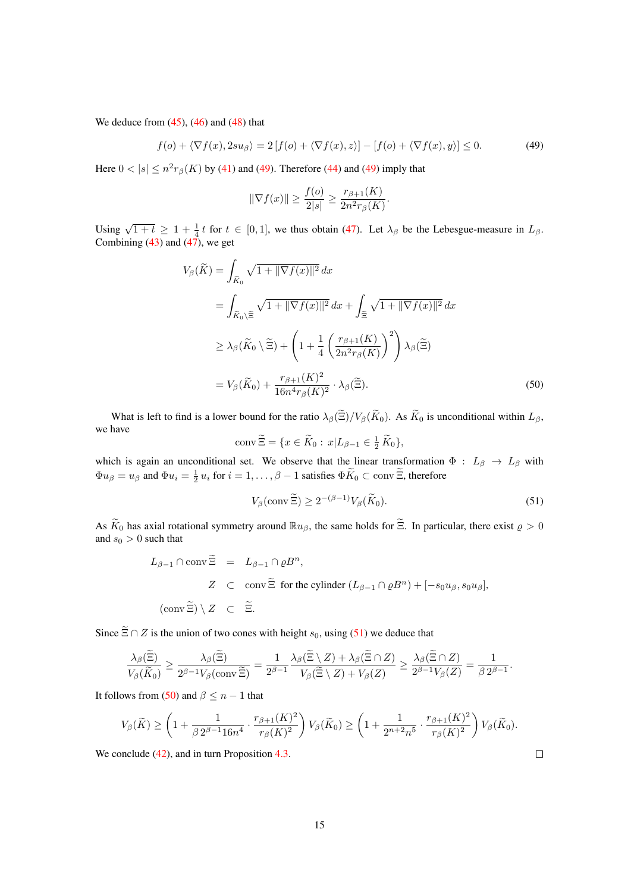We deduce from  $(45)$ ,  $(46)$  and  $(48)$  that

<span id="page-14-0"></span>
$$
f(o) + \langle \nabla f(x), 2su_{\beta} \rangle = 2[f(o) + \langle \nabla f(x), z \rangle] - [f(o) + \langle \nabla f(x), y \rangle] \le 0.
$$
 (49)

Here  $0 < |s| \leq n^2 r_\beta(K)$  by [\(41\)](#page-12-5) and [\(49\)](#page-14-0). Therefore [\(44\)](#page-13-0) and (49) imply that

$$
\|\nabla f(x)\| \ge \frac{f(o)}{2|s|} \ge \frac{r_{\beta+1}(K)}{2n^2 r_{\beta}(K)}.
$$

Using  $\sqrt{1+t} \ge 1 + \frac{1}{4}t$  for  $t \in [0,1]$ , we thus obtain [\(47\)](#page-13-2). Let  $\lambda_{\beta}$  be the Lebesgue-measure in  $L_{\beta}$ . Combining  $(43)$  and  $(47)$ , we get

$$
V_{\beta}(\widetilde{K}) = \int_{\widetilde{K}_{0}} \sqrt{1 + \|\nabla f(x)\|^{2}} dx
$$
  
\n
$$
= \int_{\widetilde{K}_{0} \setminus \widetilde{\Xi}} \sqrt{1 + \|\nabla f(x)\|^{2}} dx + \int_{\widetilde{\Xi}} \sqrt{1 + \|\nabla f(x)\|^{2}} dx
$$
  
\n
$$
\geq \lambda_{\beta}(\widetilde{K}_{0} \setminus \widetilde{\Xi}) + \left(1 + \frac{1}{4} \left(\frac{r_{\beta+1}(K)}{2n^{2}r_{\beta}(K)}\right)^{2}\right) \lambda_{\beta}(\widetilde{\Xi})
$$
  
\n
$$
= V_{\beta}(\widetilde{K}_{0}) + \frac{r_{\beta+1}(K)^{2}}{16n^{4}r_{\beta}(K)^{2}} \cdot \lambda_{\beta}(\widetilde{\Xi}). \tag{50}
$$

What is left to find is a lower bound for the ratio  $\lambda_{\beta}(\tilde{\Xi})/V_{\beta}(\tilde{K}_0)$ . As  $\tilde{K}_0$  is unconditional within  $L_{\beta}$ , we have

<span id="page-14-2"></span>
$$
\operatorname{conv} \widetilde{\Xi} = \{ x \in \widetilde{K}_0 : x | L_{\beta - 1} \in \frac{1}{2} \widetilde{K}_0 \},
$$

which is again an unconditional set. We observe that the linear transformation  $\Phi : L_{\beta} \to L_{\beta}$  with  $\Phi u_{\beta} = u_{\beta}$  and  $\Phi u_i = \frac{1}{2} u_i$  for  $i = 1, ..., \beta - 1$  satisfies  $\Phi \tilde{K}_0 \subset \text{conv } \tilde{\Xi}$ , therefore

<span id="page-14-1"></span>
$$
V_{\beta}(\text{conv}\,\widetilde{\Xi}) \ge 2^{-(\beta - 1)} V_{\beta}(\widetilde{K}_0). \tag{51}
$$

 $\Box$ 

As  $\widetilde{K}_0$  has axial rotational symmetry around  $\mathbb{R}u_{\beta}$ , the same holds for  $\widetilde{\Xi}$ . In particular, there exist  $\varrho > 0$ and  $s_0 > 0$  such that

$$
L_{\beta-1} \cap \text{conv} \widetilde{\Xi} = L_{\beta-1} \cap \varrho B^n,
$$
  
\n
$$
Z \subset \text{conv} \widetilde{\Xi} \text{ for the cylinder } (L_{\beta-1} \cap \varrho B^n) + [-s_0 u_\beta, s_0 u_\beta],
$$
  
\n
$$
(\text{conv} \widetilde{\Xi}) \setminus Z \subset \widetilde{\Xi}.
$$

Since  $\widetilde{\Xi} \cap Z$  is the union of two cones with height  $s_0$ , using [\(51\)](#page-14-1) we deduce that

$$
\frac{\lambda_{\beta}(\Xi)}{V_{\beta}(\widetilde{K}_0)} \ge \frac{\lambda_{\beta}(\Xi)}{2^{\beta-1}V_{\beta}(\text{conv}\,\widetilde{\Xi})} = \frac{1}{2^{\beta-1}} \frac{\lambda_{\beta}(\Xi \setminus Z) + \lambda_{\beta}(\Xi \cap Z)}{V_{\beta}(\widetilde{\Xi} \setminus Z) + V_{\beta}(Z)} \ge \frac{\lambda_{\beta}(\Xi \cap Z)}{2^{\beta-1}V_{\beta}(Z)} = \frac{1}{\beta 2^{\beta-1}}.
$$

It follows from [\(50\)](#page-14-2) and  $\beta \leq n-1$  that

$$
V_{\beta}(\widetilde{K}) \ge \left(1 + \frac{1}{\beta 2^{\beta - 1} 16n^4} \cdot \frac{r_{\beta+1}(K)^2}{r_{\beta}(K)^2}\right) V_{\beta}(\widetilde{K}_0) \ge \left(1 + \frac{1}{2^{n+2} n^5} \cdot \frac{r_{\beta+1}(K)^2}{r_{\beta}(K)^2}\right) V_{\beta}(\widetilde{K}_0).
$$

We conclude  $(42)$ , and in turn Proposition [4.3.](#page-11-1)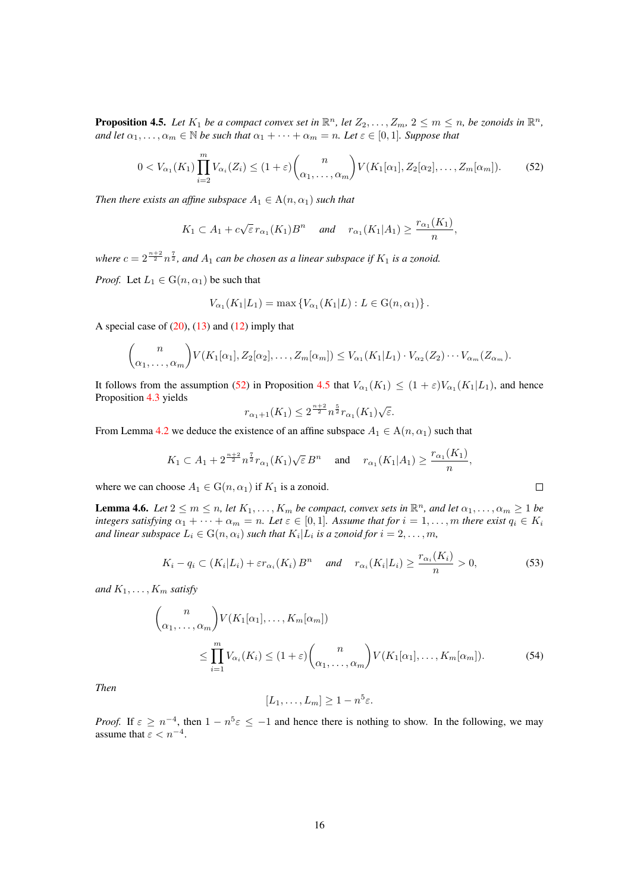<span id="page-15-1"></span>**Proposition 4.5.** Let  $K_1$  be a compact convex set in  $\mathbb{R}^n$ , let  $Z_2, \ldots, Z_m$ ,  $2 \le m \le n$ , be zonoids in  $\mathbb{R}^n$ , *and let*  $\alpha_1, \ldots, \alpha_m \in \mathbb{N}$  *be such that*  $\alpha_1 + \cdots + \alpha_m = n$ *. Let*  $\epsilon \in [0, 1]$ *. Suppose that* 

$$
0 < V_{\alpha_1}(K_1) \prod_{i=2}^m V_{\alpha_i}(Z_i) \le (1+\varepsilon) {n \choose \alpha_1, \dots, \alpha_m} V(K_1[\alpha_1], Z_2[\alpha_2], \dots, Z_m[\alpha_m]). \tag{52}
$$

*Then there exists an affine subspace*  $A_1 \in A(n, \alpha_1)$  *such that* 

$$
K_1 \subset A_1 + c\sqrt{\varepsilon} \, r_{\alpha_1}(K_1)B^n \quad \text{and} \quad r_{\alpha_1}(K_1|A_1) \geq \frac{r_{\alpha_1}(K_1)}{n},
$$

where  $c = 2^{\frac{n+2}{2}} n^{\frac{7}{2}}$ , and  $A_1$  can be chosen as a linear subspace if  $K_1$  is a zonoid.

*Proof.* Let  $L_1 \in G(n, \alpha_1)$  be such that

$$
V_{\alpha_1}(K_1|L_1) = \max \{ V_{\alpha_1}(K_1|L) : L \in G(n, \alpha_1) \}.
$$

A special case of  $(20)$ ,  $(13)$  and  $(12)$  imply that

$$
\binom{n}{\alpha_1,\ldots,\alpha_m} V(K_1[\alpha_1],Z_2[\alpha_2],\ldots,Z_m[\alpha_m]) \leq V_{\alpha_1}(K_1|L_1) \cdot V_{\alpha_2}(Z_2) \cdots V_{\alpha_m}(Z_{\alpha_m}).
$$

It follows from the assumption [\(52\)](#page-15-0) in Proposition [4.5](#page-15-1) that  $V_{\alpha_1}(K_1) \leq (1+\varepsilon)V_{\alpha_1}(K_1|L_1)$ , and hence Proposition [4.3](#page-11-1) yields √

$$
r_{\alpha_1+1}(K_1) \le 2^{\frac{n+2}{2}} n^{\frac{5}{2}} r_{\alpha_1}(K_1) \sqrt{\varepsilon}.
$$

From Lemma [4.2](#page-11-2) we deduce the existence of an affine subspace  $A_1 \in A(n, \alpha_1)$  such that

$$
K_1 \subset A_1 + 2^{\frac{n+2}{2}} n^{\frac{7}{2}} r_{\alpha_1}(K_1) \sqrt{\varepsilon} B^n \quad \text{ and } \quad r_{\alpha_1}(K_1|A_1) \ge \frac{r_{\alpha_1}(K_1)}{n},
$$

where we can choose  $A_1 \in G(n, \alpha_1)$  if  $K_1$  is a zonoid.

<span id="page-15-4"></span>**Lemma 4.6.** Let  $2 \le m \le n$ , let  $K_1, \ldots, K_m$  be compact, convex sets in  $\mathbb{R}^n$ , and let  $\alpha_1, \ldots, \alpha_m \ge 1$  be *integers satisfying*  $\alpha_1 + \cdots + \alpha_m = n$ *. Let*  $\varepsilon \in [0,1]$ *. Assume that for*  $i = 1, \ldots, m$  *there exist*  $q_i \in K_i$ and linear subspace  $L_i \in \mathrm{G}(n, \alpha_i)$  such that  $K_i | L_i$  is a zonoid for  $i = 2, \ldots, m$ ,

<span id="page-15-3"></span>
$$
K_i - q_i \subset (K_i | L_i) + \varepsilon r_{\alpha_i}(K_i) B^n \quad \text{and} \quad r_{\alpha_i}(K_i | L_i) \ge \frac{r_{\alpha_i}(K_i)}{n} > 0,
$$
 (53)

<span id="page-15-2"></span><span id="page-15-0"></span> $\Box$ 

*and*  $K_1, \ldots, K_m$  *satisfy* 

$$
\binom{n}{\alpha_1, \dots, \alpha_m} V(K_1[\alpha_1], \dots, K_m[\alpha_m])
$$
\n
$$
\leq \prod_{i=1}^m V_{\alpha_i}(K_i) \leq (1+\varepsilon) \binom{n}{\alpha_1, \dots, \alpha_m} V(K_1[\alpha_1], \dots, K_m[\alpha_m]).
$$
\n(54)

*Then*

$$
[L_1,\ldots,L_m]\geq 1-n^5\varepsilon.
$$

*Proof.* If  $\varepsilon \ge n^{-4}$ , then  $1 - n^5 \varepsilon \le -1$  and hence there is nothing to show. In the following, we may assume that  $\varepsilon < n^{-4}$ .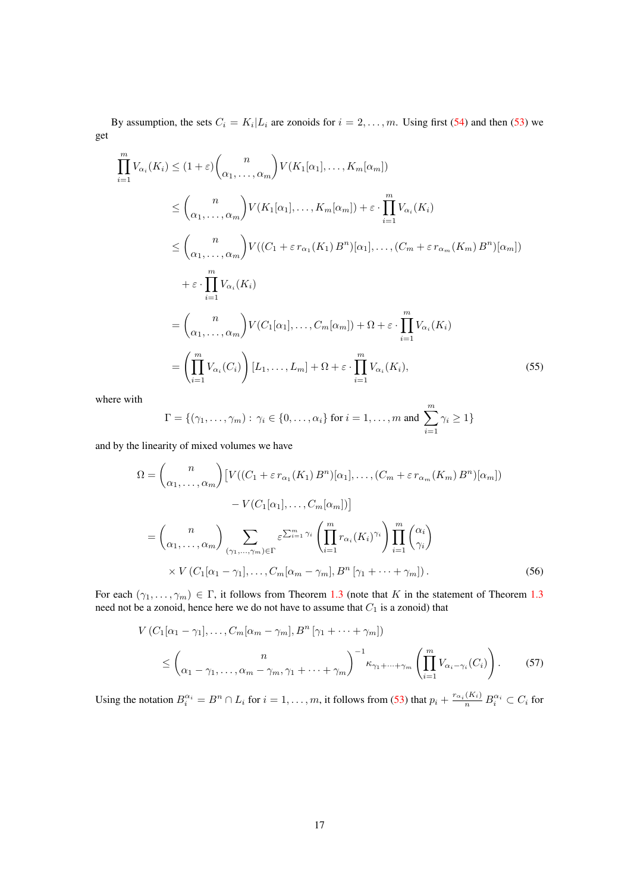By assumption, the sets  $C_i = K_i | L_i$  are zonoids for  $i = 2, ..., m$ . Using first [\(54\)](#page-15-2) and then [\(53\)](#page-15-3) we get

$$
\prod_{i=1}^{m} V_{\alpha_i}(K_i) \leq (1+\varepsilon) {n \choose \alpha_1, \dots, \alpha_m} V(K_1[\alpha_1], \dots, K_m[\alpha_m])
$$
\n
$$
\leq {n \choose \alpha_1, \dots, \alpha_m} V(K_1[\alpha_1], \dots, K_m[\alpha_m]) + \varepsilon \cdot \prod_{i=1}^{m} V_{\alpha_i}(K_i)
$$
\n
$$
\leq {n \choose \alpha_1, \dots, \alpha_m} V((C_1 + \varepsilon r_{\alpha_1}(K_1) B^n)[\alpha_1], \dots, (C_m + \varepsilon r_{\alpha_m}(K_m) B^n)[\alpha_m])
$$
\n
$$
+ \varepsilon \cdot \prod_{i=1}^{m} V_{\alpha_i}(K_i)
$$
\n
$$
= {n \choose \alpha_1, \dots, \alpha_m} V(C_1[\alpha_1], \dots, C_m[\alpha_m]) + \Omega + \varepsilon \cdot \prod_{i=1}^{m} V_{\alpha_i}(K_i)
$$
\n
$$
= \left(\prod_{i=1}^{m} V_{\alpha_i}(C_i)\right) [L_1, \dots, L_m] + \Omega + \varepsilon \cdot \prod_{i=1}^{m} V_{\alpha_i}(K_i), \tag{55}
$$

where with

<span id="page-16-2"></span><span id="page-16-0"></span>
$$
\Gamma = \{(\gamma_1, \ldots, \gamma_m) : \gamma_i \in \{0, \ldots, \alpha_i\} \text{ for } i = 1, \ldots, m \text{ and } \sum_{i=1}^m \gamma_i \ge 1\}
$$

and by the linearity of mixed volumes we have

$$
\Omega = \binom{n}{\alpha_1, \dots, \alpha_m} \left[ V((C_1 + \varepsilon r_{\alpha_1}(K_1) B^n)[\alpha_1], \dots, (C_m + \varepsilon r_{\alpha_m}(K_m) B^n)[\alpha_m]) \right]
$$

$$
- V(C_1[\alpha_1], \dots, C_m[\alpha_m]) \right]
$$

$$
= \binom{n}{\alpha_1, \dots, \alpha_m} \sum_{(\gamma_1, \dots, \gamma_m) \in \Gamma} \varepsilon^{\sum_{i=1}^m \gamma_i} \left( \prod_{i=1}^m r_{\alpha_i}(K_i)^{\gamma_i} \right) \prod_{i=1}^m \binom{\alpha_i}{\gamma_i}
$$

$$
\times V(C_1[\alpha_1 - \gamma_1], \dots, C_m[\alpha_m - \gamma_m], B^n[\gamma_1 + \dots + \gamma_m]). \tag{56}
$$

For each  $(\gamma_1, \ldots, \gamma_m) \in \Gamma$ , it follows from Theorem [1.3](#page-2-0) (note that K in the statement of Theorem 1.3) need not be a zonoid, hence here we do not have to assume that  $C_1$  is a zonoid) that

<span id="page-16-1"></span>
$$
V(C_1[\alpha_1-\gamma_1],\ldots,C_m[\alpha_m-\gamma_m],B^n[\gamma_1+\cdots+\gamma_m])
$$
  

$$
\leq \binom{n}{\alpha_1-\gamma_1,\ldots,\alpha_m-\gamma_m,\gamma_1+\cdots+\gamma_m}^{-1} \left(\prod_{i=1}^m V_{\alpha_i-\gamma_i}(C_i)\right). \tag{57}
$$

Using the notation  $B_i^{\alpha_i} = B^n \cap L_i$  for  $i = 1, ..., m$ , it follows from [\(53\)](#page-15-3) that  $p_i + \frac{r_{\alpha_i}(K_i)}{n} B_i^{\alpha_i} \subset C_i$  for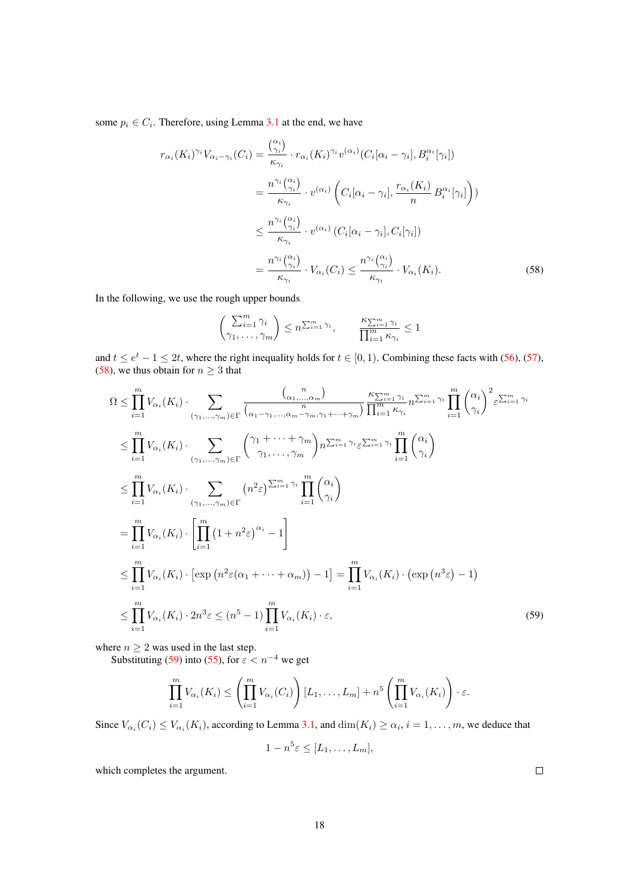some  $p_i \in C_i$ . Therefore, using Lemma [3.1](#page-7-0) at the end, we have

$$
r_{\alpha_i}(K_i)^{\gamma_i} V_{\alpha_i - \gamma_i}(C_i) = \frac{\binom{\alpha_i}{\gamma_i}}{\kappa_{\gamma_i}} \cdot r_{\alpha_i}(K_i)^{\gamma_i} v^{(\alpha_i)}(C_i[\alpha_i - \gamma_i], B_i^{\alpha_i}[\gamma_i])
$$
  

$$
= \frac{n^{\gamma_i} \binom{\alpha_i}{\gamma_i}}{\kappa_{\gamma_i}} \cdot v^{(\alpha_i)} \left( C_i[\alpha_i - \gamma_i], \frac{r_{\alpha_i}(K_i)}{n} B_i^{\alpha_i}[\gamma_i] \right))
$$
  

$$
\leq \frac{n^{\gamma_i} \binom{\alpha_i}{\gamma_i}}{\kappa_{\gamma_i}} \cdot v^{(\alpha_i)} (C_i[\alpha_i - \gamma_i], C_i[\gamma_i])
$$
  

$$
= \frac{n^{\gamma_i} \binom{\alpha_i}{\gamma_i}}{\kappa_{\gamma_i}} \cdot V_{\alpha_i}(C_i) \leq \frac{n^{\gamma_i} \binom{\alpha_i}{\gamma_i}}{\kappa_{\gamma_i}} \cdot V_{\alpha_i}(K_i).
$$
 (58)

In the following, we use the rough upper bounds

<span id="page-17-0"></span>
$$
\left(\sum_{i=1}^{m} \gamma_i \atop \gamma_1, \ldots, \gamma_m\right) \le n^{\sum_{i=1}^{m} \gamma_i}, \qquad \frac{\kappa_{\sum_{i=1}^{m} \gamma_i}}{\prod_{i=1}^{m} \kappa_{\gamma_i}} \le 1
$$

and  $t \le e^t - 1 \le 2t$ , where the right inequality holds for  $t \in [0, 1)$ . Combining these facts with [\(56\)](#page-16-0), [\(57\)](#page-16-1), [\(58\)](#page-17-0), we thus obtain for  $n \geq 3$  that

$$
\Omega \leq \prod_{i=1}^{m} V_{\alpha_i}(K_i) \cdot \sum_{(\gamma_1, \dots, \gamma_m) \in \Gamma} \frac{\binom{n}{\alpha_1, \dots, \alpha_m}}{n} \frac{\kappa_{\sum_{i=1}^{m} \gamma_i}}{\prod_{i=1}^{m} \kappa_{\gamma_i}} \sum_{i=1}^{m} \gamma_i \prod_{i=1}^{m} \binom{\alpha_i}{\gamma_i}^2 \varepsilon^{\sum_{i=1}^{m} \gamma_i}
$$
\n
$$
\leq \prod_{i=1}^{m} V_{\alpha_i}(K_i) \cdot \sum_{(\gamma_1, \dots, \gamma_m) \in \Gamma} \binom{\gamma_1 + \dots + \gamma_m}{\gamma_1, \dots, \gamma_m} n^{\sum_{i=1}^{m} \gamma_i} \varepsilon^{\sum_{i=1}^{m} \gamma_i} \prod_{i=1}^{m} \binom{\alpha_i}{\gamma_i}
$$
\n
$$
\leq \prod_{i=1}^{m} V_{\alpha_i}(K_i) \cdot \sum_{(\gamma_1, \dots, \gamma_m) \in \Gamma} \binom{n^2 \varepsilon}{\sum_{i=1}^{m} \gamma_i} \prod_{i=1}^{m} \binom{\alpha_i}{\gamma_i}
$$
\n
$$
= \prod_{i=1}^{m} V_{\alpha_i}(K_i) \cdot \left[ \prod_{i=1}^{m} (1 + n^2 \varepsilon)^{\alpha_i} - 1 \right]
$$
\n
$$
\leq \prod_{i=1}^{m} V_{\alpha_i}(K_i) \cdot \left[ \exp \left( n^2 \varepsilon(\alpha_1 + \dots + \alpha_m) \right) - 1 \right] = \prod_{i=1}^{m} V_{\alpha_i}(K_i) \cdot \exp \left( n^3 \varepsilon \right) - 1
$$
\n
$$
\leq \prod_{i=1}^{m} V_{\alpha_i}(K_i) \cdot 2n^3 \varepsilon \leq (n^5 - 1) \prod_{i=1}^{m} V_{\alpha_i}(K_i) \cdot \varepsilon,
$$
\n(59)

where  $n \geq 2$  was used in the last step.

Substituting [\(59\)](#page-17-1) into [\(55\)](#page-16-2), for  $\varepsilon < n^{-4}$  we get

$$
\prod_{i=1}^m V_{\alpha_i}(K_i) \le \left(\prod_{i=1}^m V_{\alpha_i}(C_i)\right)[L_1,\ldots,L_m] + n^5\left(\prod_{i=1}^m V_{\alpha_i}(K_i)\right) \cdot \varepsilon.
$$

Since  $V_{\alpha_i}(C_i) \leq V_{\alpha_i}(K_i)$ , according to Lemma [3.1,](#page-7-0) and  $\dim(K_i) \geq \alpha_i$ ,  $i = 1, \ldots, m$ , we deduce that

$$
1 - n^5 \varepsilon \le [L_1, \ldots, L_m],
$$

which completes the argument.

<span id="page-17-1"></span> $\Box$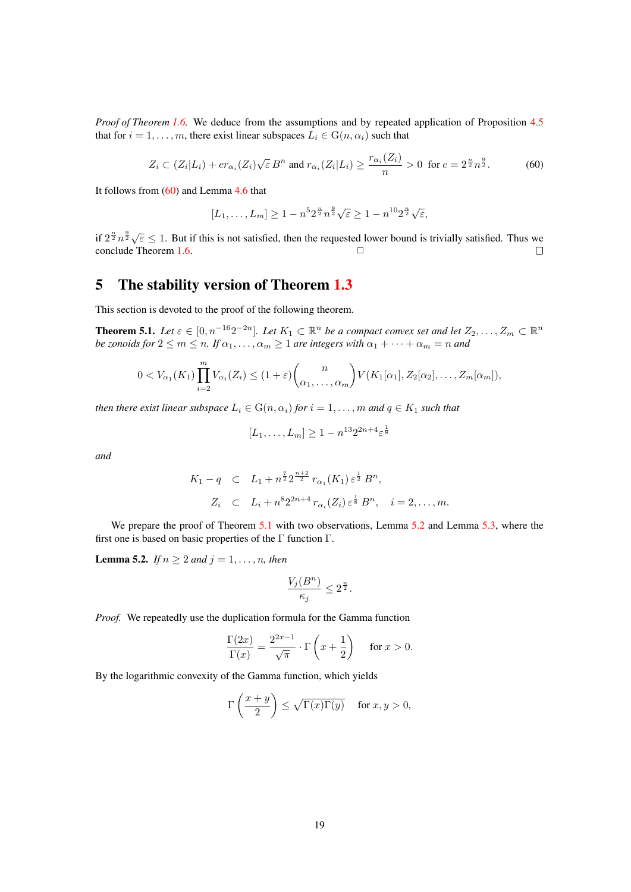*Proof of Theorem [1.6.](#page-4-2)* We deduce from the assumptions and by repeated application of Proposition [4.5](#page-15-1) that for  $i = 1, \ldots, m$ , there exist linear subspaces  $L_i \in G(n, \alpha_i)$  such that

<span id="page-18-1"></span>
$$
Z_i \subset (Z_i|L_i) + cr_{\alpha_i}(Z_i)\sqrt{\varepsilon} B^n \text{ and } r_{\alpha_i}(Z_i|L_i) \ge \frac{r_{\alpha_i}(Z_i)}{n} > 0 \text{ for } c = 2^{\frac{n}{2}} n^{\frac{9}{2}}.
$$
 (60)

It follows from [\(60\)](#page-18-1) and Lemma [4.6](#page-15-4) that

$$
[L_1,\ldots,L_m] \ge 1 - n^5 2^{\frac{n}{2}} n^{\frac{9}{2}} \sqrt{\varepsilon} \ge 1 - n^{10} 2^{\frac{n}{2}} \sqrt{\varepsilon},
$$

if  $2^{\frac{n}{2}} n^{\frac{9}{2}} \sqrt{\varepsilon} \leq 1$ . But if this is not satisfied, then the requested lower bound is trivially satisfied. Thus we  $\Box$   $\Box$   $\Box$  $\Box$ 

## <span id="page-18-0"></span>5 The stability version of Theorem [1.3](#page-2-0)

This section is devoted to the proof of the following theorem.

<span id="page-18-2"></span>**Theorem 5.1.** Let  $\epsilon \in [0, n^{-16}2^{-2n}]$ . Let  $K_1 \subset \mathbb{R}^n$  be a compact convex set and let  $Z_2, \ldots, Z_m \subset \mathbb{R}^n$ *be zonoids for*  $2 \le m \le n$ *. If*  $\alpha_1, \ldots, \alpha_m \ge 1$  *are integers with*  $\alpha_1 + \cdots + \alpha_m = n$  *and* 

$$
0 < V_{\alpha_1}(K_1) \prod_{i=2}^m V_{\alpha_i}(Z_i) \le (1+\varepsilon) {n \choose \alpha_1, \dots, \alpha_m} V(K_1[\alpha_1], Z_2[\alpha_2], \dots, Z_m[\alpha_m]),
$$

*then there exist linear subspace*  $L_i \in G(n, \alpha_i)$  *for*  $i = 1, \ldots, m$  *and*  $q \in K_1$  *such that* 

$$
[L_1, \ldots, L_m] \ge 1 - n^{13} 2^{2n + 4} \varepsilon^{\frac{1}{8}}
$$

*and*

$$
K_1 - q \quad \subset \quad L_1 + n^{\frac{7}{2}} 2^{\frac{n+2}{2}} r_{\alpha_1}(K_1) \, \varepsilon^{\frac{1}{2}} B^n,
$$
\n
$$
Z_i \quad \subset \quad L_i + n^8 2^{2n+4} r_{\alpha_i}(Z_i) \, \varepsilon^{\frac{1}{8}} B^n, \quad i = 2, \dots, m.
$$

We prepare the proof of Theorem [5.1](#page-18-2) with two observations, Lemma [5.2](#page-18-3) and Lemma [5.3,](#page-19-0) where the first one is based on basic properties of the Γ function Γ.

<span id="page-18-3"></span>**Lemma 5.2.** *If*  $n \ge 2$  *and*  $j = 1, ..., n$ *, then* 

$$
\frac{V_j(B^n)}{\kappa_j}\leq 2^{\frac{n}{2}}.
$$

*Proof.* We repeatedly use the duplication formula for the Gamma function

$$
\frac{\Gamma(2x)}{\Gamma(x)} = \frac{2^{2x-1}}{\sqrt{\pi}} \cdot \Gamma\left(x + \frac{1}{2}\right) \quad \text{for } x > 0.
$$

By the logarithmic convexity of the Gamma function, which yields

$$
\Gamma\left(\frac{x+y}{2}\right) \le \sqrt{\Gamma(x)\Gamma(y)} \quad \text{ for } x, y > 0,
$$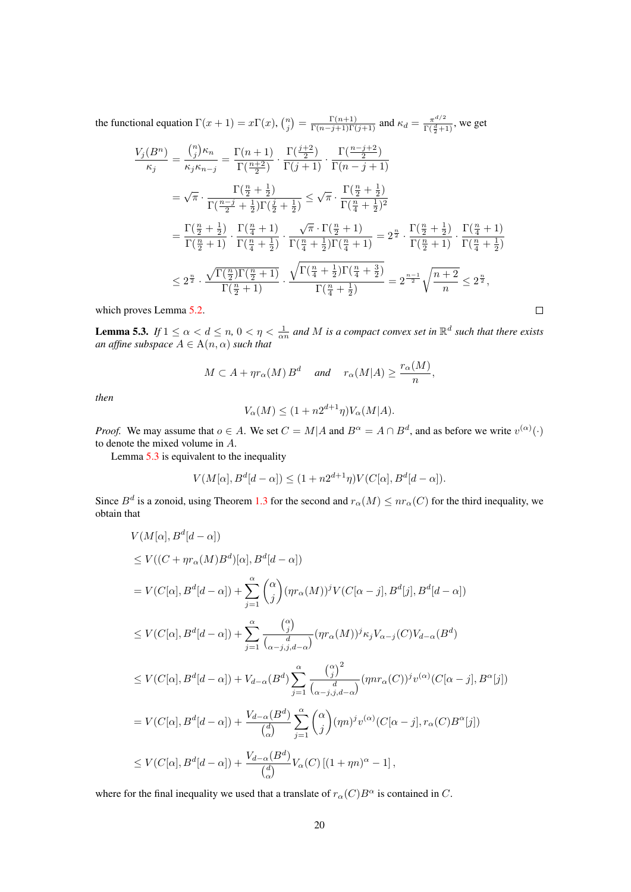the functional equation  $\Gamma(x+1) = x\Gamma(x)$ ,  $\binom{n}{j} = \frac{\Gamma(n+1)}{\Gamma(n-j+1)\Gamma(j+1)}$  and  $\kappa_d = \frac{\pi^{d/2}}{\Gamma(\frac{d}{2}+1)}$  $\frac{\pi^{a/2}}{\Gamma(\frac{d}{2}+1)}$ , we get

$$
\frac{V_j(B^n)}{\kappa_j} = \frac{\binom{n}{j}\kappa_n}{\kappa_j\kappa_{n-j}} = \frac{\Gamma(n+1)}{\Gamma(\frac{n+2}{2})} \cdot \frac{\Gamma(\frac{j+2}{2})}{\Gamma(n-1)} \cdot \frac{\Gamma(\frac{n-j+2}{2})}{\Gamma(n-j+1)}
$$
\n
$$
= \sqrt{\pi} \cdot \frac{\Gamma(\frac{n}{2} + \frac{1}{2})}{\Gamma(\frac{n-j}{2} + \frac{1}{2})\Gamma(\frac{j}{2} + \frac{1}{2})} \le \sqrt{\pi} \cdot \frac{\Gamma(\frac{n}{2} + \frac{1}{2})}{\Gamma(\frac{n}{4} + \frac{1}{2})^2}
$$
\n
$$
= \frac{\Gamma(\frac{n}{2} + \frac{1}{2})}{\Gamma(\frac{n}{2} + 1)} \cdot \frac{\Gamma(\frac{n}{4} + 1)}{\Gamma(\frac{n}{4} + \frac{1}{2})} \cdot \frac{\sqrt{\pi} \cdot \Gamma(\frac{n}{2} + 1)}{\Gamma(\frac{n}{4} + \frac{1}{2})\Gamma(\frac{n}{4} + 1)} = 2^{\frac{n}{2}} \cdot \frac{\Gamma(\frac{n}{2} + \frac{1}{2})}{\Gamma(\frac{n}{2} + 1)} \cdot \frac{\Gamma(\frac{n}{4} + \frac{1}{2})}{\Gamma(\frac{n}{4} + \frac{1}{2})}
$$
\n
$$
\le 2^{\frac{n}{2}} \cdot \frac{\sqrt{\Gamma(\frac{n}{2})\Gamma(\frac{n}{2} + 1)}}{\Gamma(\frac{n}{2} + 1)} \cdot \frac{\sqrt{\Gamma(\frac{n}{4} + \frac{1}{2})\Gamma(\frac{n}{4} + \frac{3}{2})}}{\Gamma(\frac{n}{4} + \frac{1}{2})} = 2^{\frac{n-1}{2}} \sqrt{\frac{n+2}{n}} \le 2^{\frac{n}{2}},
$$
\n
$$
\text{oves Lemma 5.2.}
$$

which proves Lemma [5.2.](#page-18-3)

<span id="page-19-0"></span>**Lemma 5.3.** *If*  $1 \le \alpha < d \le n$ ,  $0 < \eta < \frac{1}{\alpha n}$  and M is a compact convex set in  $\mathbb{R}^d$  such that there exists *an affine subspace*  $A \in \mathrm{A}(n, \alpha)$  *such that* 

$$
M \subset A + \eta r_{\alpha}(M) B^d
$$
 and  $r_{\alpha}(M|A) \ge \frac{r_{\alpha}(M)}{n}$ ,

*then*

$$
V_{\alpha}(M) \le (1 + n2^{d+1}\eta)V_{\alpha}(M|A).
$$

*Proof.* We may assume that  $o \in A$ . We set  $C = M | A$  and  $B^{\alpha} = A \cap B^d$ , and as before we write  $v^{(\alpha)}(\cdot)$ to denote the mixed volume in A.

Lemma [5.3](#page-19-0) is equivalent to the inequality

$$
V(M[\alpha], B^d[d - \alpha]) \le (1 + n2^{d+1}\eta)V(C[\alpha], B^d[d - \alpha]).
$$

Since  $B^d$  is a zonoid, using Theorem [1.3](#page-2-0) for the second and  $r_\alpha(M) \leq nr_\alpha(C)$  for the third inequality, we obtain that

$$
V(M[\alpha], B^d[d-\alpha])
$$
  
\n
$$
\leq V((C+\eta r_{\alpha}(M)B^d)[\alpha], B^d[d-\alpha])
$$
  
\n
$$
= V(C[\alpha], B^d[d-\alpha]) + \sum_{j=1}^{\alpha} {\alpha \choose j} (\eta r_{\alpha}(M))^j V(C[\alpha - j], B^d[j], B^d[d-\alpha])
$$
  
\n
$$
\leq V(C[\alpha], B^d[d-\alpha]) + \sum_{j=1}^{\alpha} {\alpha \choose j} (\eta r_{\alpha}(M))^j \kappa_j V_{\alpha-j}(C) V_{d-\alpha}(B^d)
$$
  
\n
$$
\leq V(C[\alpha], B^d[d-\alpha]) + V_{d-\alpha}(B^d) \sum_{j=1}^{\alpha} {\alpha \choose j}^2 (\eta nr_{\alpha}(C))^j v^{(\alpha)} (C[\alpha - j], B^{\alpha}[j])
$$
  
\n
$$
= V(C[\alpha], B^d[d-\alpha]) + \frac{V_{d-\alpha}(B^d)}{\alpha \choose \alpha} \sum_{j=1}^{\alpha} {\alpha \choose j} (\eta n)^j v^{(\alpha)} (C[\alpha - j], r_{\alpha}(C)B^{\alpha}[j])
$$
  
\n
$$
\leq V(C[\alpha], B^d[d-\alpha]) + \frac{V_{d-\alpha}(B^d)}{\alpha \choose \alpha} V_{\alpha}(C) [(1+\eta n)^{\alpha} - 1],
$$

where for the final inequality we used that a translate of  $r_{\alpha}(C)B^{\alpha}$  is contained in C.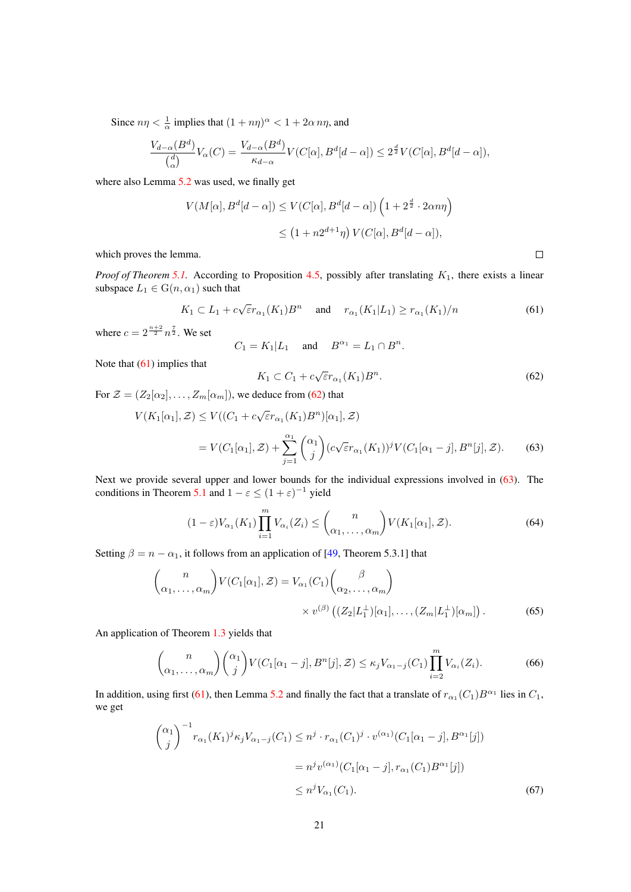<span id="page-20-7"></span>Since  $n\eta < \frac{1}{\alpha}$  implies that  $(1 + n\eta)^{\alpha} < 1 + 2\alpha n\eta$ , and

$$
\frac{V_{d-\alpha}(B^d)}{\binom{d}{\alpha}}V_{\alpha}(C) = \frac{V_{d-\alpha}(B^d)}{\kappa_{d-\alpha}}V(C[\alpha], B^d[d-\alpha]) \le 2^{\frac{d}{2}}V(C[\alpha], B^d[d-\alpha]),
$$

where also Lemma [5.2](#page-18-3) was used, we finally get

$$
V(M[\alpha], B^d[d-\alpha]) \le V(C[\alpha], B^d[d-\alpha]) \left(1 + 2^{\frac{d}{2}} \cdot 2\alpha n\eta\right)
$$
  

$$
\le \left(1 + n2^{d+1}\eta\right) V(C[\alpha], B^d[d-\alpha]),
$$

which proves the lemma.

*Proof of Theorem* [5.1.](#page-18-2) According to Proposition [4.5,](#page-15-1) possibly after translating  $K_1$ , there exists a linear subspace  $L_1 \in G(n, \alpha_1)$  such that

<span id="page-20-0"></span>
$$
K_1 \subset L_1 + c\sqrt{\varepsilon}r_{\alpha_1}(K_1)B^n \quad \text{and} \quad r_{\alpha_1}(K_1|L_1) \ge r_{\alpha_1}(K_1)/n \tag{61}
$$

where  $c = 2^{\frac{n+2}{2}} n^{\frac{7}{2}}$ . We set

$$
C_1 = K_1 | L_1 \quad \text{and} \quad B^{\alpha_1} = L_1 \cap B^n.
$$

Note that [\(61\)](#page-20-0) implies that

<span id="page-20-1"></span>
$$
K_1 \subset C_1 + c\sqrt{\varepsilon}r_{\alpha_1}(K_1)B^n. \tag{62}
$$

<span id="page-20-6"></span><span id="page-20-2"></span> $\Box$ 

For  $\mathcal{Z} = (Z_2[\alpha_2], \dots, Z_m[\alpha_m])$ , we deduce from [\(62\)](#page-20-1) that

$$
V(K_1[\alpha_1], \mathcal{Z}) \le V((C_1 + c\sqrt{\varepsilon}r_{\alpha_1}(K_1)B^n)[\alpha_1], \mathcal{Z})
$$
  
=  $V(C_1[\alpha_1], \mathcal{Z}) + \sum_{j=1}^{\alpha_1} {\alpha_1 \choose j} (c\sqrt{\varepsilon}r_{\alpha_1}(K_1))^j V(C_1[\alpha_1 - j], B^n[j], \mathcal{Z}).$  (63)

Next we provide several upper and lower bounds for the individual expressions involved in [\(63\)](#page-20-2). The conditions in Theorem [5.1](#page-18-2) and  $1 - \varepsilon \le (1 + \varepsilon)^{-1}$  yield

<span id="page-20-5"></span>
$$
(1 - \varepsilon)V_{\alpha_1}(K_1) \prod_{i=1}^m V_{\alpha_i}(Z_i) \leq {n \choose \alpha_1, \dots, \alpha_m} V(K_1[\alpha_1], \mathcal{Z}). \tag{64}
$$

Setting  $\beta = n - \alpha_1$ , it follows from an application of [\[49,](#page-24-0) Theorem 5.3.1] that

$$
\begin{pmatrix} n \\ \alpha_1, \dots, \alpha_m \end{pmatrix} V(C_1[\alpha_1], \mathcal{Z}) = V_{\alpha_1}(C_1) \begin{pmatrix} \beta \\ \alpha_2, \dots, \alpha_m \end{pmatrix}
$$

$$
\times v^{(\beta)} \left( (Z_2 | L_1^{\perp})[\alpha_1], \dots, (Z_m | L_1^{\perp})[\alpha_m] \right). \tag{65}
$$

An application of Theorem [1.3](#page-2-0) yields that

<span id="page-20-3"></span>
$$
\binom{n}{\alpha_1,\ldots,\alpha_m}\binom{\alpha_1}{j}V(C_1[\alpha_1-j],B^n[j],\mathcal{Z})\leq \kappa_j V_{\alpha_1-j}(C_1)\prod_{i=2}^m V_{\alpha_i}(Z_i). \tag{66}
$$

In addition, using first [\(61\)](#page-20-0), then Lemma [5.2](#page-18-3) and finally the fact that a translate of  $r_{\alpha_1}(C_1)B^{\alpha_1}$  lies in  $C_1$ , we get

<span id="page-20-4"></span>
$$
\begin{aligned}\n\binom{\alpha_1}{j}^{-1} r_{\alpha_1}(K_1)^j \kappa_j V_{\alpha_1 - j}(C_1) &\le n^j \cdot r_{\alpha_1}(C_1)^j \cdot v^{(\alpha_1)}(C_1[\alpha_1 - j], B^{\alpha_1}[j]) \\
&= n^j v^{(\alpha_1)}(C_1[\alpha_1 - j], r_{\alpha_1}(C_1)B^{\alpha_1}[j]) \\
&\le n^j V_{\alpha_1}(C_1).\n\end{aligned} \tag{67}
$$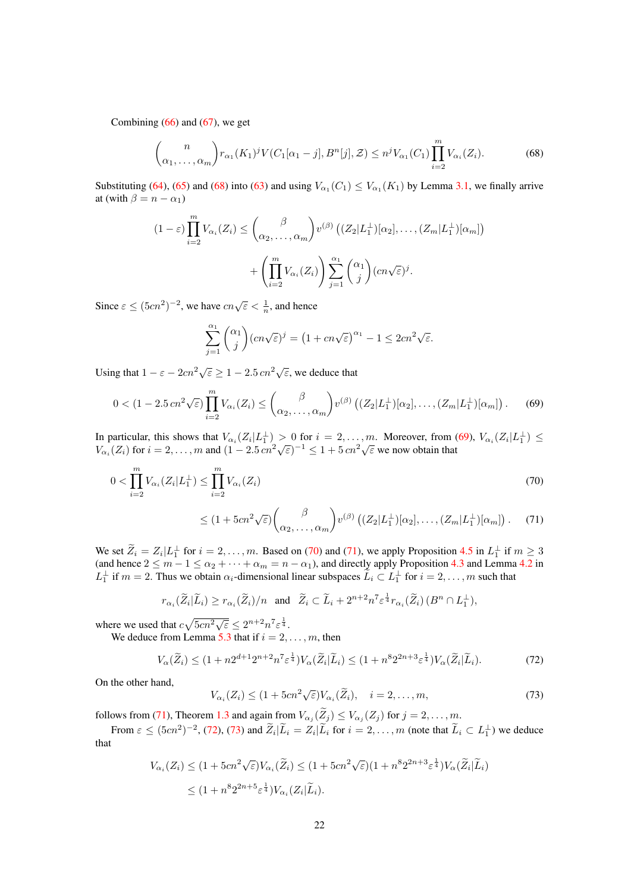Combining  $(66)$  and  $(67)$ , we get

<span id="page-21-0"></span>
$$
\binom{n}{\alpha_1, \dots, \alpha_m} r_{\alpha_1}(K_1)^j V(C_1[\alpha_1 - j], B^n[j], \mathcal{Z}) \le n^j V_{\alpha_1}(C_1) \prod_{i=2}^m V_{\alpha_i}(Z_i). \tag{68}
$$

Substituting [\(64\)](#page-20-5), [\(65\)](#page-20-6) and [\(68\)](#page-21-0) into [\(63\)](#page-20-2) and using  $V_{\alpha_1}(C_1) \leq V_{\alpha_1}(K_1)$  by Lemma [3.1,](#page-7-0) we finally arrive at (with  $\beta = n - \alpha_1$ )

$$
(1 - \varepsilon) \prod_{i=2}^{m} V_{\alpha_i}(Z_i) \leq { \beta \choose \alpha_2, \dots, \alpha_m} v^{(\beta)} \left( (Z_2 | L_1^{\perp})[\alpha_2], \dots, (Z_m | L_1^{\perp})[\alpha_m] \right) + \left( \prod_{i=2}^{m} V_{\alpha_i}(Z_i) \right) \sum_{j=1}^{\alpha_1} {\alpha_1 \choose j} (c n \sqrt{\varepsilon})^j.
$$

Since  $\varepsilon \le (5cn^2)^{-2}$ , we have  $cn\sqrt{\varepsilon} < \frac{1}{n}$ , and hence

$$
\sum_{j=1}^{\alpha_1} {\alpha_1 \choose j} (cn\sqrt{\varepsilon})^j = \left(1 + cn\sqrt{\varepsilon}\right)^{\alpha_1} - 1 \le 2cn^2\sqrt{\varepsilon}.
$$

Using that  $1 - \varepsilon - 2cn^2\sqrt{\varepsilon} \ge 1 - 2.5 cn^2\sqrt{\varepsilon}$ , we deduce that

<span id="page-21-1"></span>
$$
0 < (1 - 2.5 \operatorname{cn}^2 \sqrt{\varepsilon}) \prod_{i=2}^m V_{\alpha_i}(Z_i) \leq { \beta \choose \alpha_2, \dots, \alpha_m} v^{(\beta)} \left( (Z_2 | L_1^{\perp})[\alpha_2], \dots, (Z_m | L_1^{\perp})[\alpha_m] \right). \tag{69}
$$

In particular, this shows that  $V_{\alpha_i}(Z_i|L_1^{\perp}) > 0$  for  $i = 2, \ldots, m$ . Moreover, from [\(69\)](#page-21-1),  $V_{\alpha_i}(Z_i|L_1^{\perp}) \le$ In particular, this shows that  $V_{\alpha_i}(Z_i|L_1) > 0$  for  $i = 2, ..., m$ . Moreover, from  $V_{\alpha_i}(Z_i)$  for  $i = 2, ..., m$  and  $(1 - 2.5 cn^2 \sqrt{\epsilon})^{-1} \leq 1 + 5 cn^2 \sqrt{\epsilon}$  we now obtain that

$$
0 < \prod_{i=2}^{m} V_{\alpha_i}(Z_i | L_1^\perp) \le \prod_{i=2}^{m} V_{\alpha_i}(Z_i) \tag{70}
$$

<span id="page-21-3"></span><span id="page-21-2"></span>
$$
\leq (1+5cn^2\sqrt{\varepsilon})\binom{\beta}{\alpha_2,\ldots,\alpha_m}v^{(\beta)}\left((Z_2|L_1^{\perp})[\alpha_2],\ldots,(Z_m|L_1^{\perp})[\alpha_m]\right).
$$
 (71)

We set  $\tilde{Z}_i = Z_i | L_1^{\perp}$  for  $i = 2, ..., m$ . Based on [\(70\)](#page-21-2) and [\(71\)](#page-21-3), we apply Proposition [4.5](#page-15-1) in  $L_1^{\perp}$  if  $m \ge 3$ (and hence  $2 \le m - 1 \le \alpha_2 + \cdots + \alpha_m = n - \alpha_1$ ), and directly apply Proposition [4.3](#page-11-1) and Lemma [4.2](#page-11-2) in  $L_1^{\perp}$  if  $m = 2$ . Thus we obtain  $\alpha_i$ -dimensional linear subspaces  $\tilde{L}_i \subset L_1^{\perp}$  for  $i = 2, \ldots, m$  such that

$$
r_{\alpha_i}(\widetilde{Z}_i|\widetilde{L}_i) \ge r_{\alpha_i}(\widetilde{Z}_i)/n \quad \text{and} \quad \widetilde{Z}_i \subset \widetilde{L}_i + 2^{n+2}n^7 \varepsilon^{\frac{1}{4}} r_{\alpha_i}(\widetilde{Z}_i) \, (B^n \cap L_1^{\perp}),
$$

where we used that  $c\sqrt{5cn^2\sqrt{\varepsilon}} \leq 2^{n+2}n^7\varepsilon^{\frac{1}{4}}$ .

We deduce from Lemma [5.3](#page-19-0) that if  $i = 2, \ldots, m$ , then

<span id="page-21-4"></span>
$$
V_{\alpha}(\widetilde{Z}_i) \le (1 + n2^{d+1}2^{n+2}n^7 \varepsilon^{\frac{1}{4}}) V_{\alpha}(\widetilde{Z}_i|\widetilde{L}_i) \le (1 + n^8 2^{2n+3} \varepsilon^{\frac{1}{4}}) V_{\alpha}(\widetilde{Z}_i|\widetilde{L}_i).
$$
 (72)

On the other hand,

<span id="page-21-5"></span>
$$
V_{\alpha_i}(Z_i) \le (1 + 5cn^2 \sqrt{\varepsilon}) V_{\alpha_i}(\widetilde{Z}_i), \quad i = 2, \dots, m,
$$
\n(73)

follows from [\(71\)](#page-21-3), Theorem [1.3](#page-2-0) and again from  $V_{\alpha_j}(Z_j) \leq V_{\alpha_j}(Z_j)$  for  $j = 2, \ldots, m$ .

From  $\varepsilon \le (5cn^2)^{-2}$ , [\(72\)](#page-21-4), [\(73\)](#page-21-5) and  $\widetilde{Z}_i|\widetilde{L}_i = Z_i|\widetilde{L}_i$  for  $i = 2, \ldots, m$  (note that  $\widetilde{L}_i \subset L_1^{\perp}$ ) we deduce that

$$
V_{\alpha_i}(Z_i) \le (1 + 5cn^2 \sqrt{\varepsilon}) V_{\alpha_i}(\widetilde{Z}_i) \le (1 + 5cn^2 \sqrt{\varepsilon}) (1 + n^8 2^{2n+3} \varepsilon^{\frac{1}{4}}) V_{\alpha}(\widetilde{Z}_i | \widetilde{L}_i)
$$
  

$$
\le (1 + n^8 2^{2n+5} \varepsilon^{\frac{1}{4}}) V_{\alpha_i}(Z_i | \widetilde{L}_i).
$$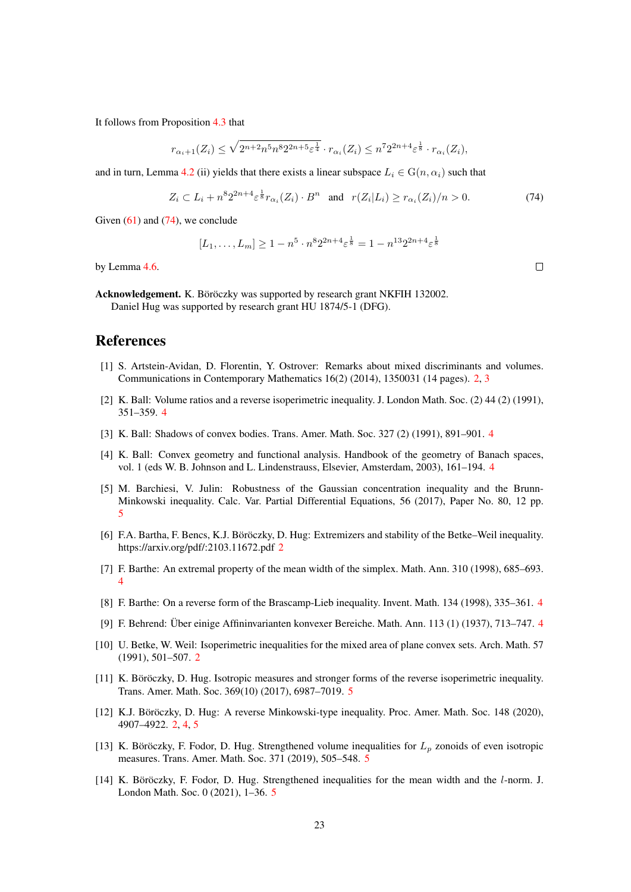It follows from Proposition [4.3](#page-11-1) that

$$
r_{\alpha_i+1}(Z_i) \le \sqrt{2^{n+2}n^5n^82^{2n+5}\varepsilon^{\frac{1}{4}}} \cdot r_{\alpha_i}(Z_i) \le n^72^{2n+4}\varepsilon^{\frac{1}{8}} \cdot r_{\alpha_i}(Z_i),
$$

and in turn, Lemma [4.2](#page-11-2) (ii) yields that there exists a linear subspace  $L_i \in G(n, \alpha_i)$  such that

<span id="page-22-14"></span>
$$
Z_i \subset L_i + n^8 2^{2n+4} \varepsilon^{\frac{1}{8}} r_{\alpha_i}(Z_i) \cdot B^n \quad \text{and} \quad r(Z_i | L_i) \ge r_{\alpha_i}(Z_i) / n > 0. \tag{74}
$$

Given  $(61)$  and  $(74)$ , we conclude

$$
[L_1, \ldots, L_m] \ge 1 - n^5 \cdot n^8 2^{2n+4} \varepsilon^{\frac{1}{8}} = 1 - n^{13} 2^{2n+4} \varepsilon^{\frac{1}{8}}
$$

by Lemma [4.6.](#page-15-4)

Acknowledgement. K. Böröczky was supported by research grant NKFIH 132002. Daniel Hug was supported by research grant HU 1874/5-1 (DFG).

### References

- <span id="page-22-1"></span>[1] S. Artstein-Avidan, D. Florentin, Y. Ostrover: Remarks about mixed discriminants and volumes. Communications in Contemporary Mathematics 16(2) (2014), 1350031 (14 pages). [2,](#page-1-2) [3](#page-2-3)
- <span id="page-22-5"></span>[2] K. Ball: Volume ratios and a reverse isoperimetric inequality. J. London Math. Soc. (2) 44 (2) (1991), 351–359. [4](#page-3-2)
- <span id="page-22-6"></span>[3] K. Ball: Shadows of convex bodies. Trans. Amer. Math. Soc. 327 (2) (1991), 891–901. [4](#page-3-2)
- <span id="page-22-7"></span>[4] K. Ball: Convex geometry and functional analysis. Handbook of the geometry of Banach spaces, vol. 1 (eds W. B. Johnson and L. Lindenstrauss, Elsevier, Amsterdam, 2003), 161–194. [4](#page-3-2)
- <span id="page-22-10"></span>[5] M. Barchiesi, V. Julin: Robustness of the Gaussian concentration inequality and the Brunn-Minkowski inequality. Calc. Var. Partial Differential Equations, 56 (2017), Paper No. 80, 12 pp. [5](#page-4-3)
- <span id="page-22-2"></span>[6] F.A. Bartha, F. Bencs, K.J. Böröczky, D. Hug: Extremizers and stability of the Betke–Weil inequality. https://arxiv.org/pdf/:2103.11672.pdf [2](#page-1-2)
- <span id="page-22-8"></span>[7] F. Barthe: An extremal property of the mean width of the simplex. Math. Ann. 310 (1998), 685–693. [4](#page-3-2)
- <span id="page-22-9"></span>[8] F. Barthe: On a reverse form of the Brascamp-Lieb inequality. Invent. Math. 134 (1998), 335–361. [4](#page-3-2)
- <span id="page-22-4"></span>[9] F. Behrend: Über einige Affininvarianten konvexer Bereiche. Math. Ann. 113 (1) (1937), 713–7[4](#page-3-2)7. 4
- <span id="page-22-0"></span>[10] U. Betke, W. Weil: Isoperimetric inequalities for the mixed area of plane convex sets. Arch. Math. 57 (1991), 501–507. [2](#page-1-2)
- <span id="page-22-11"></span>[11] K. Böröczky, D. Hug. Isotropic measures and stronger forms of the reverse isoperimetric inequality. Trans. Amer. Math. Soc. 369(10) (2017), 6987–7019. [5](#page-4-3)
- <span id="page-22-3"></span>[12] K.J. Böröczky, D. Hug: A reverse Minkowski-type inequality. Proc. Amer. Math. Soc. 148 (2020), 4907–4922. [2,](#page-1-2) [4,](#page-3-2) [5](#page-4-3)
- <span id="page-22-12"></span>[13] K. Böröczky, F. Fodor, D. Hug. Strengthened volume inequalities for  $L_p$  zonoids of even isotropic measures. Trans. Amer. Math. Soc. 371 (2019), 505–548. [5](#page-4-3)
- <span id="page-22-13"></span>[14] K. Böröczky, F. Fodor, D. Hug. Strengthened inequalities for the mean width and the l-norm. J. London Math. Soc. 0 (2021), 1–36. [5](#page-4-3)

 $\Box$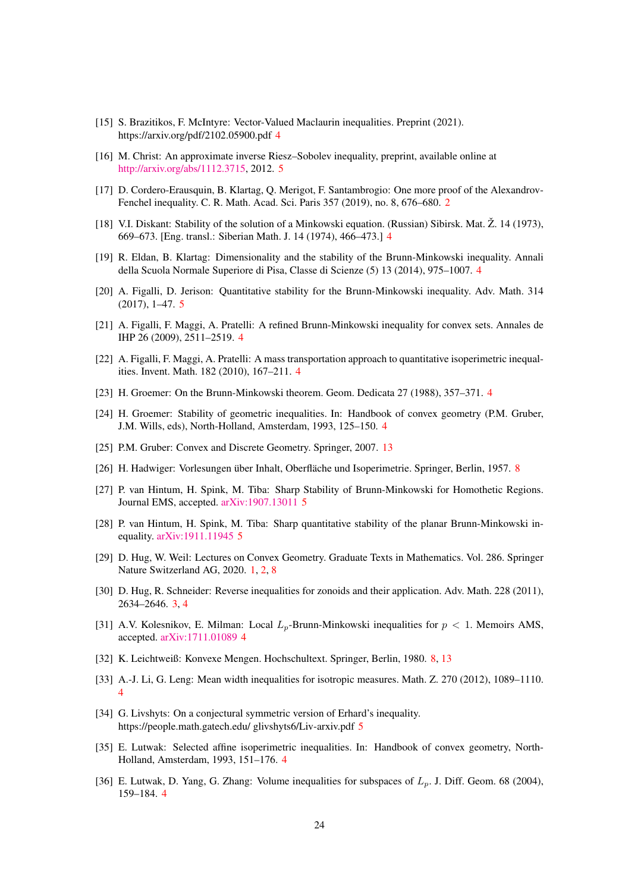- <span id="page-23-3"></span>[15] S. Brazitikos, F. McIntyre: Vector-Valued Maclaurin inequalities. Preprint (2021). https://arxiv.org/pdf/2102.05900.pdf [4](#page-3-2)
- <span id="page-23-14"></span>[16] M. Christ: An approximate inverse Riesz–Sobolev inequality, preprint, available online at [http://arxiv.org/abs/1112.3715,](http://arxiv.org/abs/1112.3715) 2012. [5](#page-4-3)
- <span id="page-23-1"></span>[17] D. Cordero-Erausquin, B. Klartag, Q. Merigot, F. Santambrogio: One more proof of the Alexandrov-Fenchel inequality. C. R. Math. Acad. Sci. Paris 357 (2019), no. 8, 676–680. [2](#page-1-2)
- <span id="page-23-8"></span>[18] V.I. Diskant: Stability of the solution of a Minkowski equation. (Russian) Sibirsk. Mat. Ž. 14 (1973), 669–673. [Eng. transl.: Siberian Math. J. 14 (1974), 466–473.] [4](#page-3-2)
- <span id="page-23-13"></span>[19] R. Eldan, B. Klartag: Dimensionality and the stability of the Brunn-Minkowski inequality. Annali della Scuola Normale Superiore di Pisa, Classe di Scienze (5) 13 (2014), 975–1007. [4](#page-3-2)
- <span id="page-23-17"></span>[20] A. Figalli, D. Jerison: Quantitative stability for the Brunn-Minkowski inequality. Adv. Math. 314 (2017), 1–47. [5](#page-4-3)
- <span id="page-23-10"></span>[21] A. Figalli, F. Maggi, A. Pratelli: A refined Brunn-Minkowski inequality for convex sets. Annales de IHP 26 (2009), 2511–2519. [4](#page-3-2)
- <span id="page-23-11"></span>[22] A. Figalli, F. Maggi, A. Pratelli: A mass transportation approach to quantitative isoperimetric inequalities. Invent. Math. 182 (2010), 167–211. [4](#page-3-2)
- <span id="page-23-9"></span>[23] H. Groemer: On the Brunn-Minkowski theorem. Geom. Dedicata 27 (1988), 357–371. [4](#page-3-2)
- <span id="page-23-7"></span>[24] H. Groemer: Stability of geometric inequalities. In: Handbook of convex geometry (P.M. Gruber, J.M. Wills, eds), North-Holland, Amsterdam, 1993, 125–150. [4](#page-3-2)
- <span id="page-23-21"></span>[25] P.M. Gruber: Convex and Discrete Geometry. Springer, 2007. [13](#page-12-7)
- <span id="page-23-20"></span>[26] H. Hadwiger: Vorlesungen über Inhalt, Oberfläche und Isoperimetrie. Springer, Berlin, 1957. [8](#page-7-5)
- <span id="page-23-16"></span>[27] P. van Hintum, H. Spink, M. Tiba: Sharp Stability of Brunn-Minkowski for Homothetic Regions. Journal EMS, accepted. [arXiv:1907.13011](http://arxiv.org/abs/1907.13011) [5](#page-4-3)
- <span id="page-23-15"></span>[28] P. van Hintum, H. Spink, M. Tiba: Sharp quantitative stability of the planar Brunn-Minkowski inequality. [arXiv:1911.11945](http://arxiv.org/abs/1911.11945) [5](#page-4-3)
- <span id="page-23-0"></span>[29] D. Hug, W. Weil: Lectures on Convex Geometry. Graduate Texts in Mathematics. Vol. 286. Springer Nature Switzerland AG, 2020. [1,](#page-0-0) [2,](#page-1-2) [8](#page-7-5)
- <span id="page-23-2"></span>[30] D. Hug, R. Schneider: Reverse inequalities for zonoids and their application. Adv. Math. 228 (2011), 2634–2646. [3,](#page-2-3) [4](#page-3-2)
- <span id="page-23-12"></span>[31] A.V. Kolesnikov, E. Milman: Local  $L_p$ -Brunn-Minkowski inequalities for  $p < 1$ . Memoirs AMS, accepted. [arXiv:1711.01089](http://arxiv.org/abs/1711.01089) [4](#page-3-2)
- <span id="page-23-19"></span>[32] K. Leichtweiß: Konvexe Mengen. Hochschultext. Springer, Berlin, 1980. [8,](#page-7-5) [13](#page-12-7)
- <span id="page-23-5"></span>[33] A.-J. Li, G. Leng: Mean width inequalities for isotropic measures. Math. Z. 270 (2012), 1089–1110. [4](#page-3-2)
- <span id="page-23-18"></span>[34] G. Livshyts: On a conjectural symmetric version of Erhard's inequality. https://people.math.gatech.edu/ glivshyts6/Liv-arxiv.pdf [5](#page-4-3)
- <span id="page-23-4"></span>[35] E. Lutwak: Selected affine isoperimetric inequalities. In: Handbook of convex geometry, North-Holland, Amsterdam, 1993, 151–176. [4](#page-3-2)
- <span id="page-23-6"></span>[36] E. Lutwak, D. Yang, G. Zhang: Volume inequalities for subspaces of  $L_p$ . J. Diff. Geom. 68 (2004), 159–184. [4](#page-3-2)